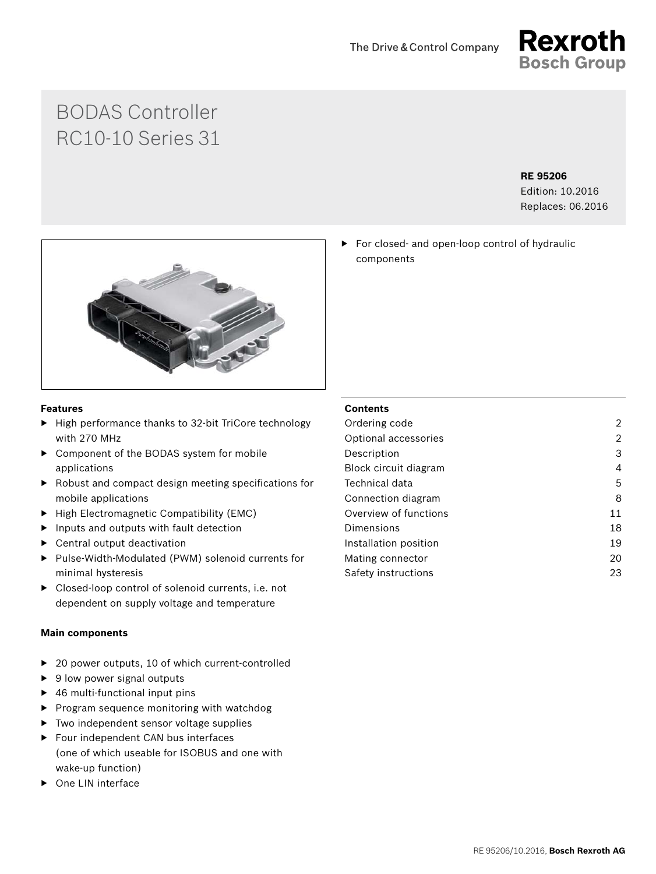

# BODAS Controller RC10-10 Series 31

### **RE 95206**

Edition: 10.2016 Replaces: 06.2016

### **Features**

- ▶ High performance thanks to 32-bit TriCore technology with 270 MHz
- ▶ Component of the BODAS system for mobile applications
- ▶ Robust and compact design meeting specifications for mobile applications
- ▶ High Electromagnetic Compatibility (EMC)
- $\blacktriangleright$  Inputs and outputs with fault detection
- ▶ Central output deactivation
- ▶ Pulse-Width-Modulated (PWM) solenoid currents for minimal hysteresis
- ▶ Closed-loop control of solenoid currents, i.e. not dependent on supply voltage and temperature

### **Main components**

- ▶ 20 power outputs, 10 of which current-controlled
- ▶ 9 low power signal outputs
- ▶ 46 multi-functional input pins
- ▶ Program sequence monitoring with watchdog
- ▶ Two independent sensor voltage supplies
- ▶ Four independent CAN bus interfaces (one of which useable for ISOBUS and one with wake-up function)
- ▶ One LIN interface

### **Contents**

components

| Ordering code         | 2  |
|-----------------------|----|
| Optional accessories  | 2  |
| Description           | 3  |
| Block circuit diagram | 4  |
| Technical data        | 5  |
| Connection diagram    | 8  |
| Overview of functions | 11 |
| Dimensions            | 18 |
| Installation position | 19 |
| Mating connector      | 20 |
| Safety instructions   | 23 |
|                       |    |

▶ For closed- and open-loop control of hydraulic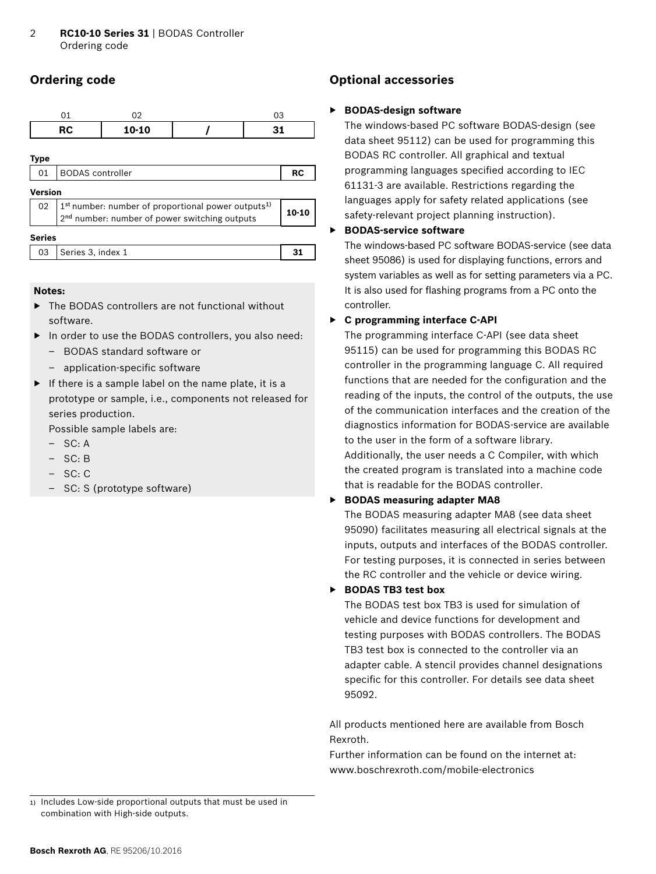# <span id="page-1-0"></span>**Ordering code**

|                                                                                                                                               | 01                      | 02    |  | 03        |  |  |
|-----------------------------------------------------------------------------------------------------------------------------------------------|-------------------------|-------|--|-----------|--|--|
|                                                                                                                                               | <b>RC</b>               | 10-10 |  | 31        |  |  |
| <b>Type</b>                                                                                                                                   |                         |       |  |           |  |  |
| 01                                                                                                                                            | <b>BODAS</b> controller |       |  | <b>RC</b> |  |  |
|                                                                                                                                               | <b>Version</b>          |       |  |           |  |  |
| 1 <sup>st</sup> number: number of proportional power outputs <sup>1)</sup><br>02<br>2 <sup>nd</sup> number: number of power switching outputs |                         |       |  | 10-10     |  |  |
| <b>Series</b>                                                                                                                                 |                         |       |  |           |  |  |
| 03                                                                                                                                            | Series 3, index 1       |       |  | 31        |  |  |

#### **Notes:**

- ▶ The BODAS controllers are not functional without software.
- ▶ In order to use the BODAS controllers, you also need:
	- BODAS standard software or
	- application-specific software
- $\blacktriangleright$  If there is a sample label on the name plate, it is a prototype or sample, i.e., components not released for series production.

Possible sample labels are:

- $-$  SC $\cdot$  A
- SC: B
- SC: C
- SC: S (prototype software)

### **Optional accessories**

#### ▶ **BODAS-design software**

The windows-based PC software BODAS-design (see data sheet 95112) can be used for programming this BODAS RC controller. All graphical and textual programming languages specified according to IEC 61131-3 are available. Restrictions regarding the languages apply for safety related applications (see safety-relevant project planning instruction).

#### ▶ **BODAS-service software**

The windows-based PC software BODAS-service (see data sheet 95086) is used for displaying functions, errors and system variables as well as for setting parameters via a PC. It is also used for flashing programs from a PC onto the controller.

### ▶ **C programming interface C-API**

The programming interface C-API (see data sheet 95115) can be used for programming this BODAS RC controller in the programming language C. All required functions that are needed for the configuration and the reading of the inputs, the control of the outputs, the use of the communication interfaces and the creation of the diagnostics information for BODAS-service are available to the user in the form of a software library. Additionally, the user needs a C Compiler, with which the created program is translated into a machine code that is readable for the BODAS controller.

### ▶ **BODAS measuring adapter MA8**

The BODAS measuring adapter MA8 (see data sheet 95090) facilitates measuring all electrical signals at the inputs, outputs and interfaces of the BODAS controller. For testing purposes, it is connected in series between the RC controller and the vehicle or device wiring.

### ▶ **BODAS TB3 test box**

The BODAS test box TB3 is used for simulation of vehicle and device functions for development and testing purposes with BODAS controllers. The BODAS TB3 test box is connected to the controller via an adapter cable. A stencil provides channel designations specific for this controller. For details see data sheet 95092.

All products mentioned here are available from Bosch Rexroth.

Further information can be found on the internet at: www.boschrexroth.com/mobile-electronics

<sup>1)</sup> Includes Low-side proportional outputs that must be used in combination with High-side outputs.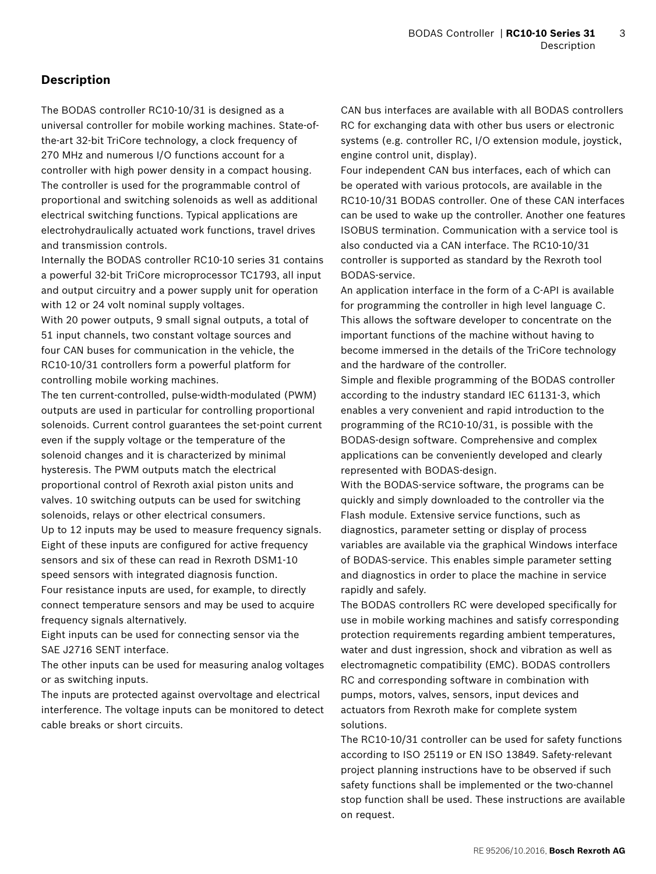### <span id="page-2-0"></span>**Description**

The BODAS controller RC10-10/31 is designed as a universal controller for mobile working machines. State-ofthe-art 32-bit TriCore technology, a clock frequency of 270 MHz and numerous I/O functions account for a controller with high power density in a compact housing. The controller is used for the programmable control of proportional and switching solenoids as well as additional electrical switching functions. Typical applications are electrohydraulically actuated work functions, travel drives and transmission controls.

Internally the BODAS controller RC10-10 series 31 contains a powerful 32-bit TriCore microprocessor TC1793, all input and output circuitry and a power supply unit for operation with 12 or 24 volt nominal supply voltages.

With 20 power outputs, 9 small signal outputs, a total of 51 input channels, two constant voltage sources and four CAN buses for communication in the vehicle, the RC10-10/31 controllers form a powerful platform for controlling mobile working machines.

The ten current-controlled, pulse-width-modulated (PWM) outputs are used in particular for controlling proportional solenoids. Current control guarantees the set-point current even if the supply voltage or the temperature of the solenoid changes and it is characterized by minimal hysteresis. The PWM outputs match the electrical proportional control of Rexroth axial piston units and valves. 10 switching outputs can be used for switching solenoids, relays or other electrical consumers.

Up to 12 inputs may be used to measure frequency signals. Eight of these inputs are configured for active frequency sensors and six of these can read in Rexroth DSM1-10 speed sensors with integrated diagnosis function. Four resistance inputs are used, for example, to directly connect temperature sensors and may be used to acquire frequency signals alternatively.

Eight inputs can be used for connecting sensor via the SAE J2716 SENT interface.

The other inputs can be used for measuring analog voltages or as switching inputs.

The inputs are protected against overvoltage and electrical interference. The voltage inputs can be monitored to detect cable breaks or short circuits.

CAN bus interfaces are available with all BODAS controllers RC for exchanging data with other bus users or electronic systems (e.g. controller RC, I/O extension module, joystick, engine control unit, display).

Four independent CAN bus interfaces, each of which can be operated with various protocols, are available in the RC10-10/31 BODAS controller. One of these CAN interfaces can be used to wake up the controller. Another one features ISOBUS termination. Communication with a service tool is also conducted via a CAN interface. The RC10-10/31 controller is supported as standard by the Rexroth tool BODAS-service.

An application interface in the form of a C-API is available for programming the controller in high level language C. This allows the software developer to concentrate on the important functions of the machine without having to become immersed in the details of the TriCore technology and the hardware of the controller.

Simple and flexible programming of the BODAS controller according to the industry standard IEC 61131-3, which enables a very convenient and rapid introduction to the programming of the RC10-10/31, is possible with the BODAS-design software. Comprehensive and complex applications can be conveniently developed and clearly represented with BODAS-design.

With the BODAS-service software, the programs can be quickly and simply downloaded to the controller via the Flash module. Extensive service functions, such as diagnostics, parameter setting or display of process variables are available via the graphical Windows interface of BODAS-service. This enables simple parameter setting and diagnostics in order to place the machine in service rapidly and safely.

The BODAS controllers RC were developed specifically for use in mobile working machines and satisfy corresponding protection requirements regarding ambient temperatures, water and dust ingression, shock and vibration as well as electromagnetic compatibility (EMC). BODAS controllers RC and corresponding software in combination with pumps, motors, valves, sensors, input devices and actuators from Rexroth make for complete system solutions.

The RC10-10/31 controller can be used for safety functions according to ISO 25119 or EN ISO 13849. Safety-relevant project planning instructions have to be observed if such safety functions shall be implemented or the two-channel stop function shall be used. These instructions are available on request.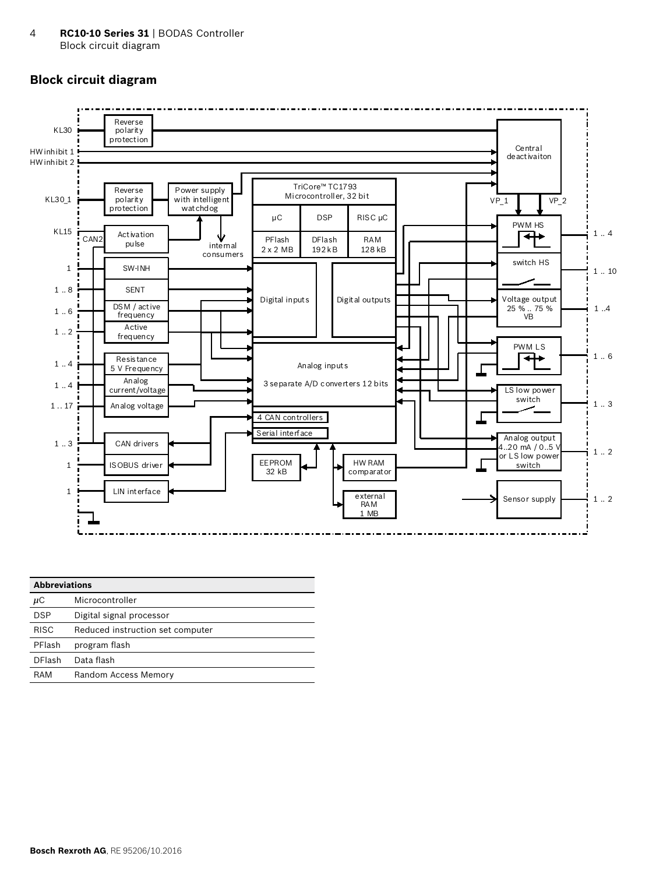### <span id="page-3-0"></span>**Block circuit diagram**



| <b>Abbreviations</b> |                                  |  |  |
|----------------------|----------------------------------|--|--|
| $\mu$ C              | Microcontroller                  |  |  |
| <b>DSP</b>           | Digital signal processor         |  |  |
| <b>RISC</b>          | Reduced instruction set computer |  |  |
| PFlash               | program flash                    |  |  |
| <b>DFlash</b>        | Data flash                       |  |  |
| RAM                  | Random Access Memory             |  |  |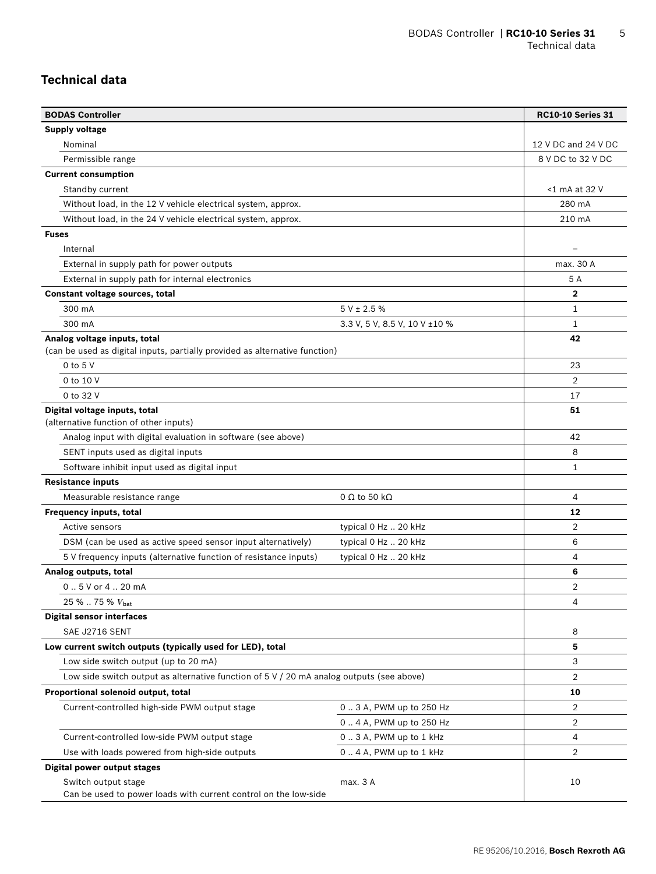### <span id="page-4-0"></span>**Technical data**

| <b>BODAS Controller</b>                                                                                     |                               | <b>RC10-10 Series 31</b> |
|-------------------------------------------------------------------------------------------------------------|-------------------------------|--------------------------|
| Supply voltage                                                                                              |                               |                          |
| Nominal                                                                                                     |                               | 12 V DC and 24 V DC      |
| Permissible range                                                                                           |                               | 8 V DC to 32 V DC        |
| <b>Current consumption</b>                                                                                  |                               |                          |
| Standby current                                                                                             |                               | <1 mA at 32 V            |
| Without load, in the 12 V vehicle electrical system, approx.                                                |                               | 280 mA                   |
| Without load, in the 24 V vehicle electrical system, approx.                                                |                               | 210 mA                   |
| <b>Fuses</b>                                                                                                |                               |                          |
| Internal                                                                                                    |                               |                          |
| External in supply path for power outputs                                                                   |                               | max. 30 A                |
| External in supply path for internal electronics                                                            |                               | 5 A                      |
| Constant voltage sources, total                                                                             |                               | $\mathbf{2}$             |
| 300 mA                                                                                                      | $5 V \pm 2.5 \%$              | $\mathbf{1}$             |
| 300 mA                                                                                                      | 3.3 V, 5 V, 8.5 V, 10 V ±10 % | $\mathbf{1}$             |
| Analog voltage inputs, total<br>(can be used as digital inputs, partially provided as alternative function) |                               | 42                       |
| $0$ to $5$ V                                                                                                |                               | 23                       |
| 0 to 10 V                                                                                                   |                               | $\overline{2}$           |
| 0 to 32 V                                                                                                   |                               | 17                       |
| Digital voltage inputs, total<br>(alternative function of other inputs)                                     |                               | 51                       |
| Analog input with digital evaluation in software (see above)                                                |                               | 42                       |
| SENT inputs used as digital inputs                                                                          |                               | 8                        |
| Software inhibit input used as digital input                                                                |                               | 1                        |
| <b>Resistance inputs</b>                                                                                    |                               |                          |
| Measurable resistance range                                                                                 | $0 \Omega$ to 50 k $\Omega$   | 4                        |
| Frequency inputs, total                                                                                     |                               | 12                       |
| Active sensors                                                                                              | typical 0 Hz  20 kHz          | 2                        |
| DSM (can be used as active speed sensor input alternatively)                                                | typical 0 Hz  20 kHz          | 6                        |
| 5 V frequency inputs (alternative function of resistance inputs)                                            | typical 0 Hz  20 kHz          | 4                        |
| Analog outputs, total                                                                                       |                               | 6                        |
| 0.5 V or 4.20 mA                                                                                            |                               | 2                        |
| 25 %  75 % V <sub>bat</sub>                                                                                 |                               | 4                        |
| <b>Digital sensor interfaces</b>                                                                            |                               |                          |
| SAE J2716 SENT                                                                                              |                               | 8                        |
| Low current switch outputs (typically used for LED), total                                                  |                               | 5                        |
| Low side switch output (up to 20 mA)                                                                        |                               | 3                        |
| Low side switch output as alternative function of $5 \vee 720$ mA analog outputs (see above)                |                               | $\overline{2}$           |
| Proportional solenoid output, total                                                                         |                               | 10                       |
| Current-controlled high-side PWM output stage                                                               | 0.3 A, PWM up to 250 Hz       | $\overline{2}$           |
|                                                                                                             | 0.4 A, PWM up to 250 Hz       | $\overline{2}$           |
| Current-controlled low-side PWM output stage                                                                | 0.3 A, PWM up to 1 kHz        | 4                        |
| Use with loads powered from high-side outputs                                                               | 0.4 A, PWM up to 1 kHz        | 2                        |
| Digital power output stages                                                                                 |                               |                          |
| Switch output stage<br>Can be used to power loads with current control on the low-side                      | max. 3 A                      | 10                       |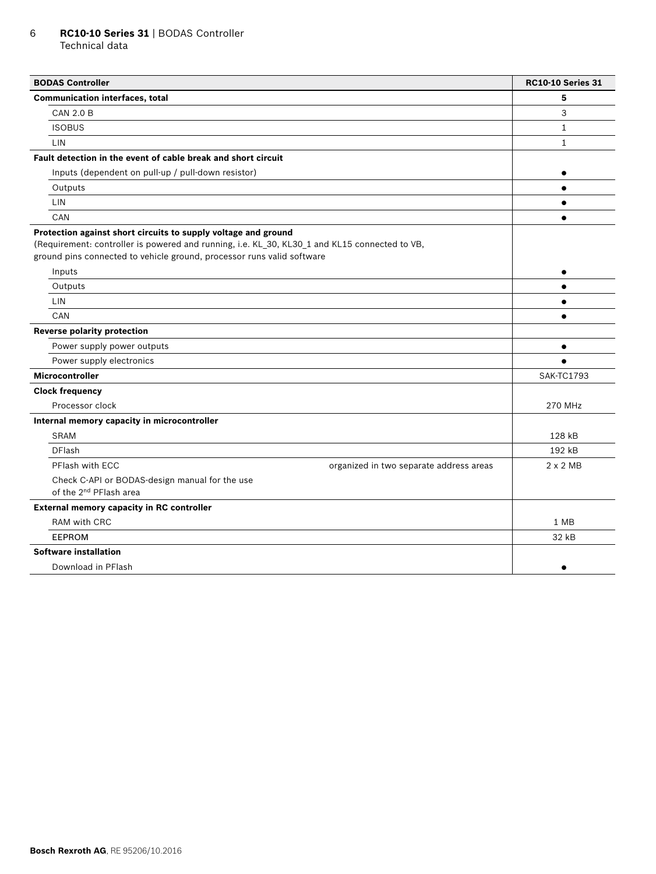#### 6 **RC10-10 Series 31** | BODAS Controller Technical data

| <b>BODAS Controller</b>                                                                                                                                                 | <b>RC10-10 Series 31</b> |
|-------------------------------------------------------------------------------------------------------------------------------------------------------------------------|--------------------------|
| <b>Communication interfaces, total</b>                                                                                                                                  | 5                        |
| <b>CAN 2.0 B</b>                                                                                                                                                        | 3                        |
| <b>ISOBUS</b>                                                                                                                                                           | $\mathbf{1}$             |
| LIN                                                                                                                                                                     | 1                        |
| Fault detection in the event of cable break and short circuit                                                                                                           |                          |
| Inputs (dependent on pull-up / pull-down resistor)                                                                                                                      | $\bullet$                |
| Outputs                                                                                                                                                                 | $\bullet$                |
| LIN                                                                                                                                                                     | $\bullet$                |
| CAN                                                                                                                                                                     | $\bullet$                |
| Protection against short circuits to supply voltage and ground                                                                                                          |                          |
| (Requirement: controller is powered and running, i.e. KL_30, KL30_1 and KL15 connected to VB,<br>ground pins connected to vehicle ground, processor runs valid software |                          |
| Inputs                                                                                                                                                                  | $\bullet$                |
| Outputs                                                                                                                                                                 | $\bullet$                |
| <b>LIN</b>                                                                                                                                                              | $\bullet$                |
| CAN                                                                                                                                                                     |                          |
| <b>Reverse polarity protection</b>                                                                                                                                      |                          |
| Power supply power outputs                                                                                                                                              | $\bullet$                |
| Power supply electronics                                                                                                                                                |                          |
| <b>Microcontroller</b>                                                                                                                                                  | <b>SAK-TC1793</b>        |
| <b>Clock frequency</b>                                                                                                                                                  |                          |
| Processor clock                                                                                                                                                         | 270 MHz                  |
| Internal memory capacity in microcontroller                                                                                                                             |                          |
| <b>SRAM</b>                                                                                                                                                             | 128 kB                   |
| <b>DFlash</b>                                                                                                                                                           | 192 kB                   |
| PFlash with ECC<br>organized in two separate address areas                                                                                                              | $2 \times 2$ MB          |
| Check C-API or BODAS-design manual for the use<br>of the 2 <sup>nd</sup> PFlash area                                                                                    |                          |
| External memory capacity in RC controller                                                                                                                               |                          |
| RAM with CRC                                                                                                                                                            | 1 MB                     |
| <b>EEPROM</b>                                                                                                                                                           | 32 kB                    |
| <b>Software installation</b>                                                                                                                                            |                          |
| Download in PFlash                                                                                                                                                      | $\bullet$                |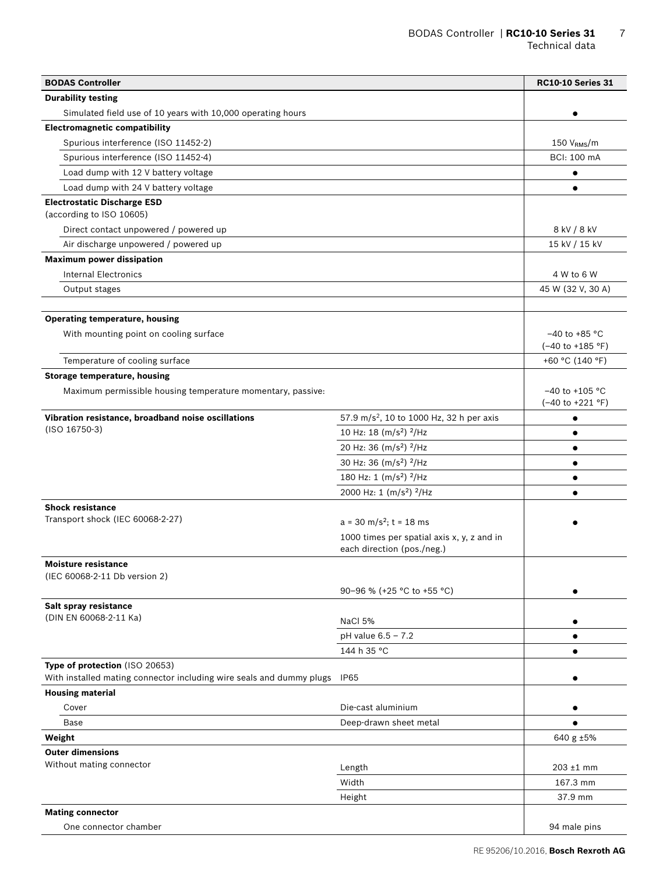| <b>BODAS Controller</b>                                                                                |                                                      | <b>RC10-10 Series 31</b>               |
|--------------------------------------------------------------------------------------------------------|------------------------------------------------------|----------------------------------------|
| <b>Durability testing</b>                                                                              |                                                      |                                        |
| Simulated field use of 10 years with 10,000 operating hours                                            |                                                      |                                        |
| <b>Electromagnetic compatibility</b>                                                                   |                                                      |                                        |
| Spurious interference (ISO 11452-2)                                                                    |                                                      | 150 V <sub>RMS</sub> /m                |
| Spurious interference (ISO 11452-4)                                                                    |                                                      | <b>BCI: 100 mA</b>                     |
| Load dump with 12 V battery voltage                                                                    |                                                      | $\bullet$                              |
| Load dump with 24 V battery voltage                                                                    |                                                      |                                        |
| <b>Electrostatic Discharge ESD</b><br>(according to ISO 10605)                                         |                                                      |                                        |
| Direct contact unpowered / powered up                                                                  |                                                      | 8 kV / 8 kV                            |
| Air discharge unpowered / powered up                                                                   |                                                      | 15 kV / 15 kV                          |
| <b>Maximum power dissipation</b>                                                                       |                                                      |                                        |
| <b>Internal Electronics</b>                                                                            |                                                      | 4 W to 6 W                             |
| Output stages                                                                                          |                                                      | 45 W (32 V, 30 A)                      |
|                                                                                                        |                                                      |                                        |
| <b>Operating temperature, housing</b>                                                                  |                                                      |                                        |
| With mounting point on cooling surface                                                                 |                                                      | $-40$ to +85 °C                        |
|                                                                                                        |                                                      | $(-40 \text{ to } +185 \text{ °F})$    |
| Temperature of cooling surface                                                                         |                                                      | +60 °C (140 °F)                        |
| <b>Storage temperature, housing</b>                                                                    |                                                      |                                        |
| Maximum permissible housing temperature momentary, passive:                                            |                                                      | $-40$ to $+105$ °C<br>(-40 to +221 °F) |
| Vibration resistance, broadband noise oscillations                                                     | 57.9 m/s <sup>2</sup> , 10 to 1000 Hz, 32 h per axis | $\bullet$                              |
| $(ISO 16750-3)$                                                                                        | 10 Hz: 18 $(m/s2)$ <sup>2</sup> /Hz                  |                                        |
|                                                                                                        | 20 Hz: 36 (m/s <sup>2</sup> ) <sup>2</sup> /Hz       | ٠                                      |
|                                                                                                        | 30 Hz: 36 (m/s <sup>2</sup> ) <sup>2</sup> /Hz       | $\bullet$                              |
|                                                                                                        | 180 Hz: 1 $(m/s2)$ <sup>2</sup> /Hz                  |                                        |
|                                                                                                        | 2000 Hz: 1 (m/s <sup>2</sup> ) <sup>2</sup> /Hz      |                                        |
| <b>Shock resistance</b>                                                                                |                                                      |                                        |
| Transport shock (IEC 60068-2-27)                                                                       | $a = 30$ m/s <sup>2</sup> ; t = 18 ms                |                                        |
|                                                                                                        | 1000 times per spatial axis x, y, z and in           |                                        |
|                                                                                                        | each direction (pos./neg.)                           |                                        |
| <b>Moisture resistance</b>                                                                             |                                                      |                                        |
| (IEC 60068-2-11 Db version 2)                                                                          |                                                      |                                        |
|                                                                                                        | 90-96 % (+25 °C to +55 °C)                           |                                        |
| Salt spray resistance                                                                                  |                                                      |                                        |
| (DIN EN 60068-2-11 Ka)                                                                                 | NaCl 5%                                              |                                        |
|                                                                                                        | $pH$ value $6.5 - 7.2$                               |                                        |
|                                                                                                        | 144 h 35 °C                                          |                                        |
| Type of protection (ISO 20653)<br>With installed mating connector including wire seals and dummy plugs | IP65                                                 |                                        |
| <b>Housing material</b>                                                                                |                                                      |                                        |
| Cover                                                                                                  | Die-cast aluminium                                   |                                        |
| Base                                                                                                   | Deep-drawn sheet metal                               |                                        |
| Weight                                                                                                 |                                                      | 640 g ±5%                              |
| <b>Outer dimensions</b>                                                                                |                                                      |                                        |
| Without mating connector                                                                               | Length                                               | $203 \pm 1$ mm                         |
|                                                                                                        | Width                                                | 167.3 mm                               |
|                                                                                                        | Height                                               | 37.9 mm                                |
| <b>Mating connector</b>                                                                                |                                                      |                                        |
| One connector chamber                                                                                  |                                                      | 94 male pins                           |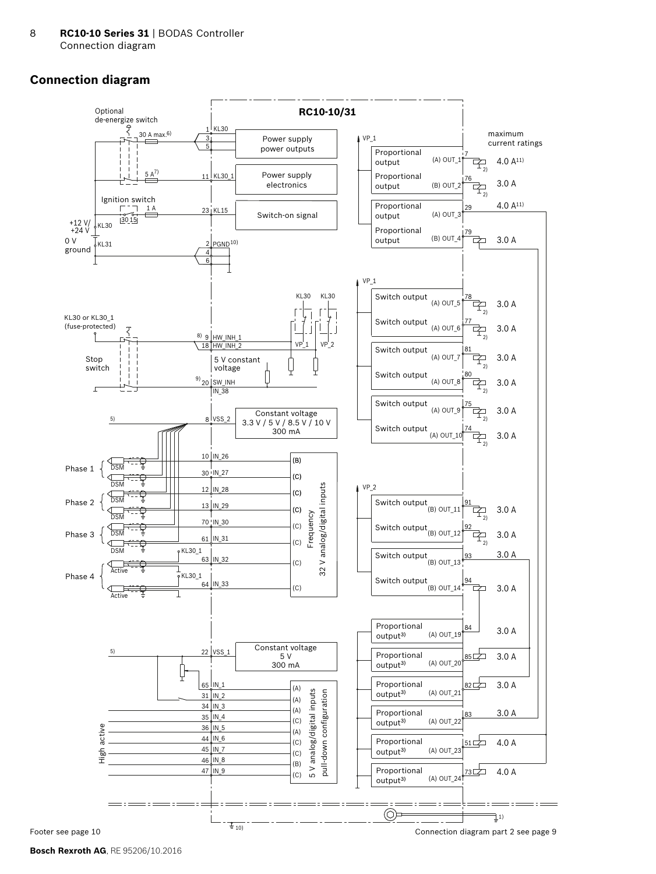# <span id="page-7-0"></span>**Connection diagram**



**Bosch Rexroth AG**, RE 95206/10.2016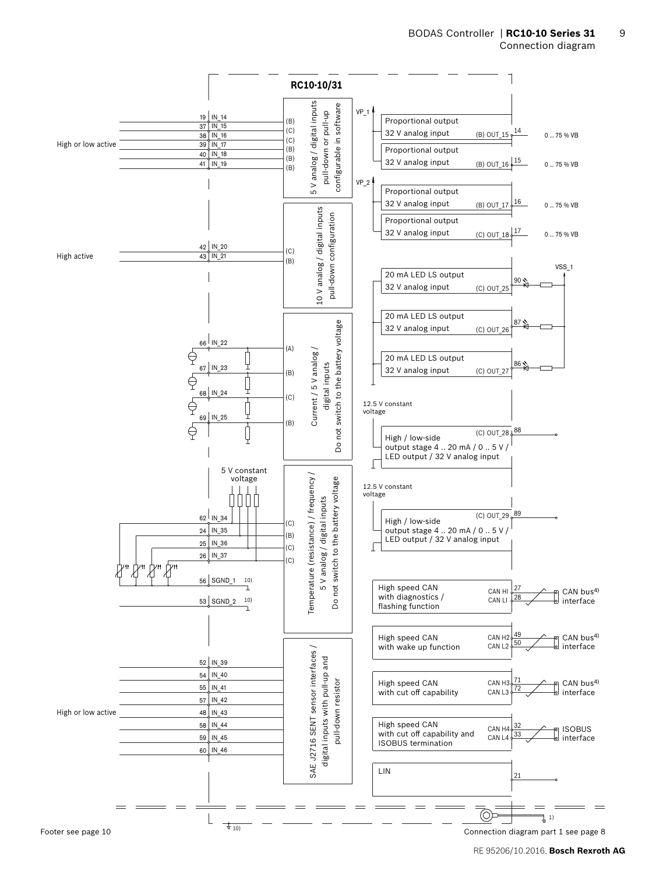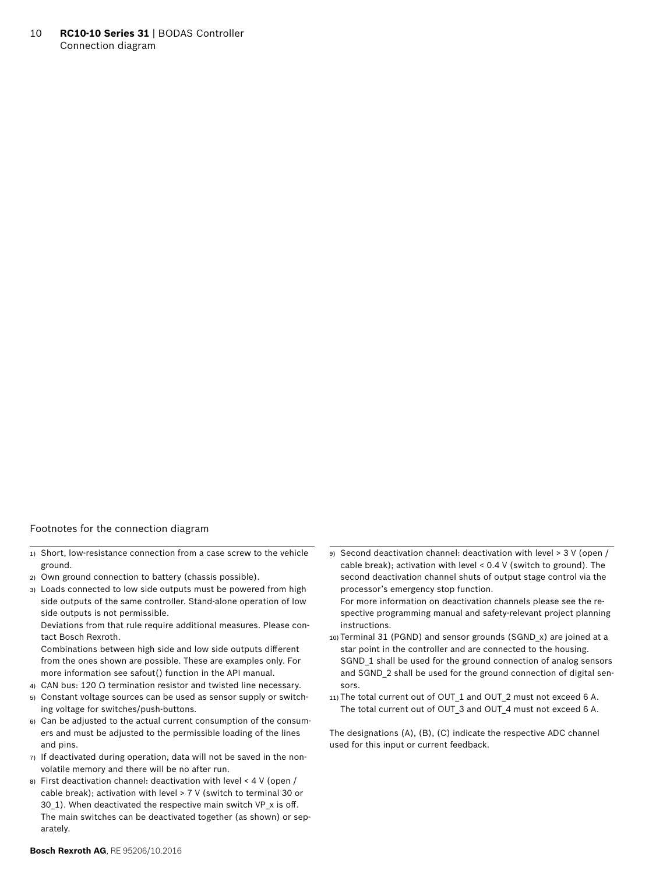10 **RC10-10 Series 31** | BODAS Controller Connection diagram

#### Footnotes for the connection diagram

- 1) Short, low-resistance connection from a case screw to the vehicle ground.
- 2) Own ground connection to battery (chassis possible).
- 3) Loads connected to low side outputs must be powered from high side outputs of the same controller. Stand-alone operation of low side outputs is not permissible.

Deviations from that rule require additional measures. Please contact Bosch Rexroth.

Combinations between high side and low side outputs different from the ones shown are possible. These are examples only. For more information see safout() function in the API manual.

- 4) CAN bus: 120 Ω termination resistor and twisted line necessary.
- 5) Constant voltage sources can be used as sensor supply or switching voltage for switches/push-buttons.
- 6) Can be adjusted to the actual current consumption of the consumers and must be adjusted to the permissible loading of the lines and pins.
- 7) If deactivated during operation, data will not be saved in the nonvolatile memory and there will be no after run.
- 8) First deactivation channel: deactivation with level < 4 V (open / cable break); activation with level > 7 V (switch to terminal 30 or 30\_1). When deactivated the respective main switch VP\_x is off. The main switches can be deactivated together (as shown) or separately.

9) Second deactivation channel: deactivation with level > 3 V (open / cable break); activation with level < 0.4 V (switch to ground). The second deactivation channel shuts of output stage control via the processor's emergency stop function.

For more information on deactivation channels please see the respective programming manual and safety-relevant project planning instructions.

- 10) Terminal 31 (PGND) and sensor grounds (SGND\_x) are joined at a star point in the controller and are connected to the housing. SGND 1 shall be used for the ground connection of analog sensors and SGND\_2 shall be used for the ground connection of digital sensors.
- 11) The total current out of OUT 1 and OUT 2 must not exceed 6 A. The total current out of OUT\_3 and OUT\_4 must not exceed 6 A.

The designations (A), (B), (C) indicate the respective ADC channel used for this input or current feedback.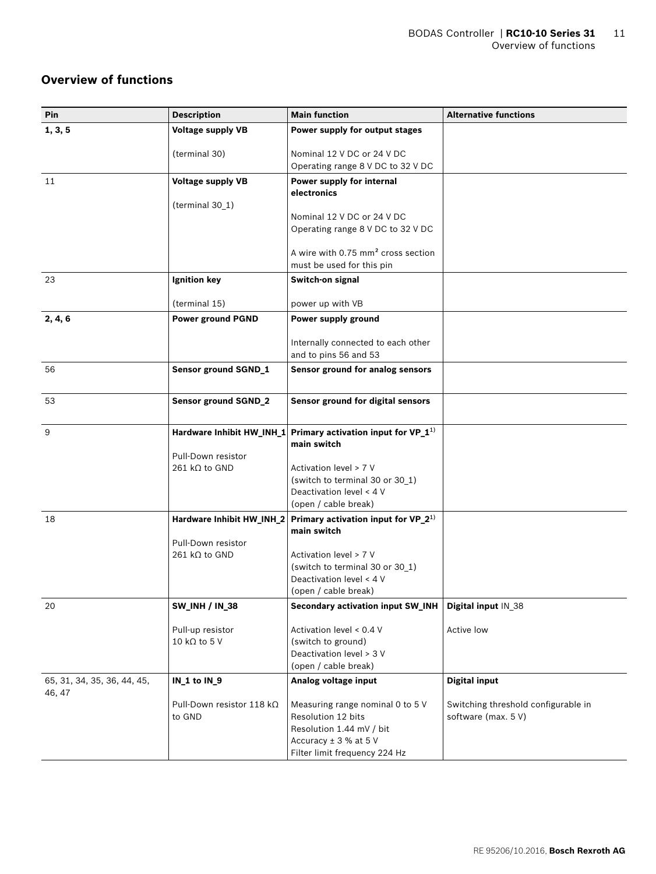# <span id="page-10-0"></span>**Overview of functions**

| 1, 3, 5<br><b>Voltage supply VB</b><br>Power supply for output stages<br>Nominal 12 V DC or 24 V DC<br>(terminal 30)<br>Operating range 8 V DC to 32 V DC<br>11<br><b>Voltage supply VB</b><br>Power supply for internal<br>electronics<br>(terminal 30_1)<br>Nominal 12 V DC or 24 V DC<br>Operating range 8 V DC to 32 V DC<br>A wire with 0.75 mm <sup>2</sup> cross section<br>must be used for this pin<br>Ignition key<br>Switch-on signal<br>23<br>(terminal 15)<br>power up with VB<br><b>Power ground PGND</b><br>Power supply ground<br>2, 4, 6<br>Internally connected to each other<br>and to pins 56 and 53<br>56<br>Sensor ground SGND_1<br>Sensor ground for analog sensors<br>Sensor ground for digital sensors<br>53<br><b>Sensor ground SGND_2</b><br>Primary activation input for VP_1 <sup>1)</sup><br>9<br>Hardware Inhibit HW_INH_1<br>main switch<br>Pull-Down resistor<br>$261$ kΩ to GND<br>Activation level > 7 V<br>(switch to terminal 30 or 30_1)<br>Deactivation level < 4 V<br>(open / cable break)<br>Primary activation input for VP_2 <sup>1)</sup><br>Hardware Inhibit HW_INH_2<br>18<br>main switch<br>Pull-Down resistor<br>$261$ kQ to GND<br>Activation level > 7 V<br>(switch to terminal 30 or 30_1)<br>Deactivation level < 4 V<br>(open / cable break)<br>Secondary activation input SW_INH<br>20<br><b>SW_INH / IN_38</b><br>Digital input IN_38<br>Activation level < 0.4 V<br>Pull-up resistor<br>Active low<br>(switch to ground)<br>10 k $\Omega$ to 5 V<br>Deactivation level > 3 V<br>(open / cable break)<br><b>Digital input</b><br>IN_1 to IN_9<br>Analog voltage input<br>65, 31, 34, 35, 36, 44, 45,<br>46, 47<br>Pull-Down resistor 118 kΩ<br>Measuring range nominal 0 to 5 V<br>Switching threshold configurable in<br>Resolution 12 bits<br>software (max. 5 V)<br>to GND<br>Resolution 1.44 mV / bit<br>Accuracy ± 3 % at 5 V<br>Filter limit frequency 224 Hz | Pin | <b>Description</b> | <b>Main function</b> | <b>Alternative functions</b> |
|----------------------------------------------------------------------------------------------------------------------------------------------------------------------------------------------------------------------------------------------------------------------------------------------------------------------------------------------------------------------------------------------------------------------------------------------------------------------------------------------------------------------------------------------------------------------------------------------------------------------------------------------------------------------------------------------------------------------------------------------------------------------------------------------------------------------------------------------------------------------------------------------------------------------------------------------------------------------------------------------------------------------------------------------------------------------------------------------------------------------------------------------------------------------------------------------------------------------------------------------------------------------------------------------------------------------------------------------------------------------------------------------------------------------------------------------------------------------------------------------------------------------------------------------------------------------------------------------------------------------------------------------------------------------------------------------------------------------------------------------------------------------------------------------------------------------------------------------------------------------------------------------------------------------------|-----|--------------------|----------------------|------------------------------|
|                                                                                                                                                                                                                                                                                                                                                                                                                                                                                                                                                                                                                                                                                                                                                                                                                                                                                                                                                                                                                                                                                                                                                                                                                                                                                                                                                                                                                                                                                                                                                                                                                                                                                                                                                                                                                                                                                                                            |     |                    |                      |                              |
|                                                                                                                                                                                                                                                                                                                                                                                                                                                                                                                                                                                                                                                                                                                                                                                                                                                                                                                                                                                                                                                                                                                                                                                                                                                                                                                                                                                                                                                                                                                                                                                                                                                                                                                                                                                                                                                                                                                            |     |                    |                      |                              |
|                                                                                                                                                                                                                                                                                                                                                                                                                                                                                                                                                                                                                                                                                                                                                                                                                                                                                                                                                                                                                                                                                                                                                                                                                                                                                                                                                                                                                                                                                                                                                                                                                                                                                                                                                                                                                                                                                                                            |     |                    |                      |                              |
|                                                                                                                                                                                                                                                                                                                                                                                                                                                                                                                                                                                                                                                                                                                                                                                                                                                                                                                                                                                                                                                                                                                                                                                                                                                                                                                                                                                                                                                                                                                                                                                                                                                                                                                                                                                                                                                                                                                            |     |                    |                      |                              |
|                                                                                                                                                                                                                                                                                                                                                                                                                                                                                                                                                                                                                                                                                                                                                                                                                                                                                                                                                                                                                                                                                                                                                                                                                                                                                                                                                                                                                                                                                                                                                                                                                                                                                                                                                                                                                                                                                                                            |     |                    |                      |                              |
|                                                                                                                                                                                                                                                                                                                                                                                                                                                                                                                                                                                                                                                                                                                                                                                                                                                                                                                                                                                                                                                                                                                                                                                                                                                                                                                                                                                                                                                                                                                                                                                                                                                                                                                                                                                                                                                                                                                            |     |                    |                      |                              |
|                                                                                                                                                                                                                                                                                                                                                                                                                                                                                                                                                                                                                                                                                                                                                                                                                                                                                                                                                                                                                                                                                                                                                                                                                                                                                                                                                                                                                                                                                                                                                                                                                                                                                                                                                                                                                                                                                                                            |     |                    |                      |                              |
|                                                                                                                                                                                                                                                                                                                                                                                                                                                                                                                                                                                                                                                                                                                                                                                                                                                                                                                                                                                                                                                                                                                                                                                                                                                                                                                                                                                                                                                                                                                                                                                                                                                                                                                                                                                                                                                                                                                            |     |                    |                      |                              |
|                                                                                                                                                                                                                                                                                                                                                                                                                                                                                                                                                                                                                                                                                                                                                                                                                                                                                                                                                                                                                                                                                                                                                                                                                                                                                                                                                                                                                                                                                                                                                                                                                                                                                                                                                                                                                                                                                                                            |     |                    |                      |                              |
|                                                                                                                                                                                                                                                                                                                                                                                                                                                                                                                                                                                                                                                                                                                                                                                                                                                                                                                                                                                                                                                                                                                                                                                                                                                                                                                                                                                                                                                                                                                                                                                                                                                                                                                                                                                                                                                                                                                            |     |                    |                      |                              |
|                                                                                                                                                                                                                                                                                                                                                                                                                                                                                                                                                                                                                                                                                                                                                                                                                                                                                                                                                                                                                                                                                                                                                                                                                                                                                                                                                                                                                                                                                                                                                                                                                                                                                                                                                                                                                                                                                                                            |     |                    |                      |                              |
|                                                                                                                                                                                                                                                                                                                                                                                                                                                                                                                                                                                                                                                                                                                                                                                                                                                                                                                                                                                                                                                                                                                                                                                                                                                                                                                                                                                                                                                                                                                                                                                                                                                                                                                                                                                                                                                                                                                            |     |                    |                      |                              |
|                                                                                                                                                                                                                                                                                                                                                                                                                                                                                                                                                                                                                                                                                                                                                                                                                                                                                                                                                                                                                                                                                                                                                                                                                                                                                                                                                                                                                                                                                                                                                                                                                                                                                                                                                                                                                                                                                                                            |     |                    |                      |                              |
|                                                                                                                                                                                                                                                                                                                                                                                                                                                                                                                                                                                                                                                                                                                                                                                                                                                                                                                                                                                                                                                                                                                                                                                                                                                                                                                                                                                                                                                                                                                                                                                                                                                                                                                                                                                                                                                                                                                            |     |                    |                      |                              |
|                                                                                                                                                                                                                                                                                                                                                                                                                                                                                                                                                                                                                                                                                                                                                                                                                                                                                                                                                                                                                                                                                                                                                                                                                                                                                                                                                                                                                                                                                                                                                                                                                                                                                                                                                                                                                                                                                                                            |     |                    |                      |                              |
|                                                                                                                                                                                                                                                                                                                                                                                                                                                                                                                                                                                                                                                                                                                                                                                                                                                                                                                                                                                                                                                                                                                                                                                                                                                                                                                                                                                                                                                                                                                                                                                                                                                                                                                                                                                                                                                                                                                            |     |                    |                      |                              |
|                                                                                                                                                                                                                                                                                                                                                                                                                                                                                                                                                                                                                                                                                                                                                                                                                                                                                                                                                                                                                                                                                                                                                                                                                                                                                                                                                                                                                                                                                                                                                                                                                                                                                                                                                                                                                                                                                                                            |     |                    |                      |                              |
|                                                                                                                                                                                                                                                                                                                                                                                                                                                                                                                                                                                                                                                                                                                                                                                                                                                                                                                                                                                                                                                                                                                                                                                                                                                                                                                                                                                                                                                                                                                                                                                                                                                                                                                                                                                                                                                                                                                            |     |                    |                      |                              |
|                                                                                                                                                                                                                                                                                                                                                                                                                                                                                                                                                                                                                                                                                                                                                                                                                                                                                                                                                                                                                                                                                                                                                                                                                                                                                                                                                                                                                                                                                                                                                                                                                                                                                                                                                                                                                                                                                                                            |     |                    |                      |                              |
|                                                                                                                                                                                                                                                                                                                                                                                                                                                                                                                                                                                                                                                                                                                                                                                                                                                                                                                                                                                                                                                                                                                                                                                                                                                                                                                                                                                                                                                                                                                                                                                                                                                                                                                                                                                                                                                                                                                            |     |                    |                      |                              |
|                                                                                                                                                                                                                                                                                                                                                                                                                                                                                                                                                                                                                                                                                                                                                                                                                                                                                                                                                                                                                                                                                                                                                                                                                                                                                                                                                                                                                                                                                                                                                                                                                                                                                                                                                                                                                                                                                                                            |     |                    |                      |                              |
|                                                                                                                                                                                                                                                                                                                                                                                                                                                                                                                                                                                                                                                                                                                                                                                                                                                                                                                                                                                                                                                                                                                                                                                                                                                                                                                                                                                                                                                                                                                                                                                                                                                                                                                                                                                                                                                                                                                            |     |                    |                      |                              |
|                                                                                                                                                                                                                                                                                                                                                                                                                                                                                                                                                                                                                                                                                                                                                                                                                                                                                                                                                                                                                                                                                                                                                                                                                                                                                                                                                                                                                                                                                                                                                                                                                                                                                                                                                                                                                                                                                                                            |     |                    |                      |                              |
|                                                                                                                                                                                                                                                                                                                                                                                                                                                                                                                                                                                                                                                                                                                                                                                                                                                                                                                                                                                                                                                                                                                                                                                                                                                                                                                                                                                                                                                                                                                                                                                                                                                                                                                                                                                                                                                                                                                            |     |                    |                      |                              |
|                                                                                                                                                                                                                                                                                                                                                                                                                                                                                                                                                                                                                                                                                                                                                                                                                                                                                                                                                                                                                                                                                                                                                                                                                                                                                                                                                                                                                                                                                                                                                                                                                                                                                                                                                                                                                                                                                                                            |     |                    |                      |                              |
|                                                                                                                                                                                                                                                                                                                                                                                                                                                                                                                                                                                                                                                                                                                                                                                                                                                                                                                                                                                                                                                                                                                                                                                                                                                                                                                                                                                                                                                                                                                                                                                                                                                                                                                                                                                                                                                                                                                            |     |                    |                      |                              |
|                                                                                                                                                                                                                                                                                                                                                                                                                                                                                                                                                                                                                                                                                                                                                                                                                                                                                                                                                                                                                                                                                                                                                                                                                                                                                                                                                                                                                                                                                                                                                                                                                                                                                                                                                                                                                                                                                                                            |     |                    |                      |                              |
|                                                                                                                                                                                                                                                                                                                                                                                                                                                                                                                                                                                                                                                                                                                                                                                                                                                                                                                                                                                                                                                                                                                                                                                                                                                                                                                                                                                                                                                                                                                                                                                                                                                                                                                                                                                                                                                                                                                            |     |                    |                      |                              |
|                                                                                                                                                                                                                                                                                                                                                                                                                                                                                                                                                                                                                                                                                                                                                                                                                                                                                                                                                                                                                                                                                                                                                                                                                                                                                                                                                                                                                                                                                                                                                                                                                                                                                                                                                                                                                                                                                                                            |     |                    |                      |                              |
|                                                                                                                                                                                                                                                                                                                                                                                                                                                                                                                                                                                                                                                                                                                                                                                                                                                                                                                                                                                                                                                                                                                                                                                                                                                                                                                                                                                                                                                                                                                                                                                                                                                                                                                                                                                                                                                                                                                            |     |                    |                      |                              |
|                                                                                                                                                                                                                                                                                                                                                                                                                                                                                                                                                                                                                                                                                                                                                                                                                                                                                                                                                                                                                                                                                                                                                                                                                                                                                                                                                                                                                                                                                                                                                                                                                                                                                                                                                                                                                                                                                                                            |     |                    |                      |                              |
|                                                                                                                                                                                                                                                                                                                                                                                                                                                                                                                                                                                                                                                                                                                                                                                                                                                                                                                                                                                                                                                                                                                                                                                                                                                                                                                                                                                                                                                                                                                                                                                                                                                                                                                                                                                                                                                                                                                            |     |                    |                      |                              |
|                                                                                                                                                                                                                                                                                                                                                                                                                                                                                                                                                                                                                                                                                                                                                                                                                                                                                                                                                                                                                                                                                                                                                                                                                                                                                                                                                                                                                                                                                                                                                                                                                                                                                                                                                                                                                                                                                                                            |     |                    |                      |                              |
|                                                                                                                                                                                                                                                                                                                                                                                                                                                                                                                                                                                                                                                                                                                                                                                                                                                                                                                                                                                                                                                                                                                                                                                                                                                                                                                                                                                                                                                                                                                                                                                                                                                                                                                                                                                                                                                                                                                            |     |                    |                      |                              |
|                                                                                                                                                                                                                                                                                                                                                                                                                                                                                                                                                                                                                                                                                                                                                                                                                                                                                                                                                                                                                                                                                                                                                                                                                                                                                                                                                                                                                                                                                                                                                                                                                                                                                                                                                                                                                                                                                                                            |     |                    |                      |                              |
|                                                                                                                                                                                                                                                                                                                                                                                                                                                                                                                                                                                                                                                                                                                                                                                                                                                                                                                                                                                                                                                                                                                                                                                                                                                                                                                                                                                                                                                                                                                                                                                                                                                                                                                                                                                                                                                                                                                            |     |                    |                      |                              |
|                                                                                                                                                                                                                                                                                                                                                                                                                                                                                                                                                                                                                                                                                                                                                                                                                                                                                                                                                                                                                                                                                                                                                                                                                                                                                                                                                                                                                                                                                                                                                                                                                                                                                                                                                                                                                                                                                                                            |     |                    |                      |                              |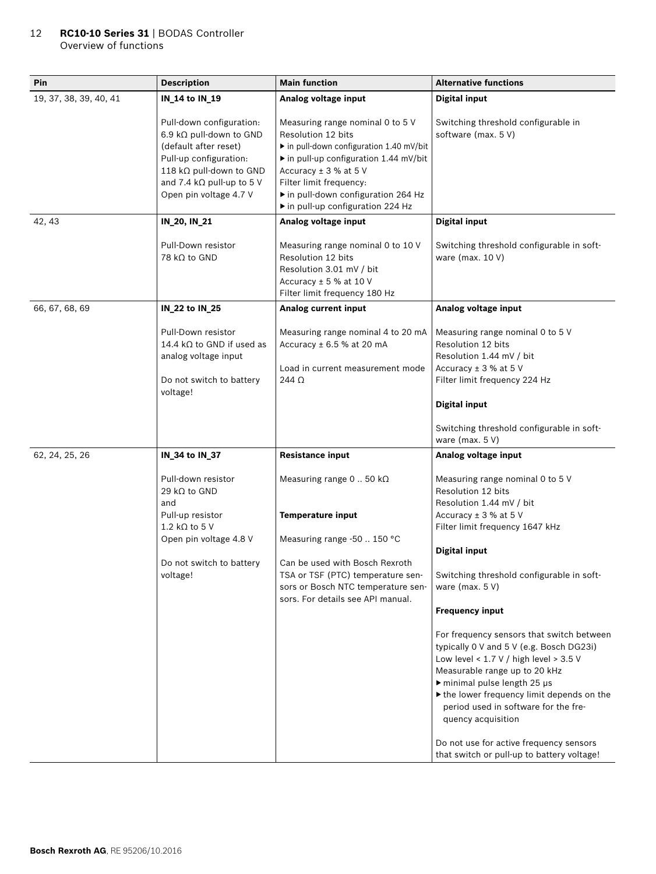### 12 **RC10-10 Series 31** | BODAS Controller Overview of functions

| Pin                    | <b>Description</b>                                                                                                                                                                               | <b>Main function</b>                                                                                                                                                                                                                                                     | <b>Alternative functions</b>                                                                                                                                                                                                                                                                                                                                                                                                                                                                                                                                                                                                       |
|------------------------|--------------------------------------------------------------------------------------------------------------------------------------------------------------------------------------------------|--------------------------------------------------------------------------------------------------------------------------------------------------------------------------------------------------------------------------------------------------------------------------|------------------------------------------------------------------------------------------------------------------------------------------------------------------------------------------------------------------------------------------------------------------------------------------------------------------------------------------------------------------------------------------------------------------------------------------------------------------------------------------------------------------------------------------------------------------------------------------------------------------------------------|
| 19, 37, 38, 39, 40, 41 | IN_14 to IN_19                                                                                                                                                                                   | Analog voltage input                                                                                                                                                                                                                                                     | <b>Digital input</b>                                                                                                                                                                                                                                                                                                                                                                                                                                                                                                                                                                                                               |
|                        | Pull-down configuration:<br>6.9 kΩ pull-down to GND<br>(default after reset)<br>Pull-up configuration:<br>118 kΩ pull-down to GND<br>and 7.4 k $\Omega$ pull-up to 5 V<br>Open pin voltage 4.7 V | Measuring range nominal 0 to 5 V<br>Resolution 12 bits<br>in pull-down configuration 1.40 mV/bit<br>▶ in pull-up configuration 1.44 mV/bit<br>Accuracy $±$ 3 % at 5 V<br>Filter limit frequency:<br>in pull-down configuration 264 Hz<br>in pull-up configuration 224 Hz | Switching threshold configurable in<br>software (max. 5 V)                                                                                                                                                                                                                                                                                                                                                                                                                                                                                                                                                                         |
| 42, 43                 | IN_20, IN_21                                                                                                                                                                                     | Analog voltage input                                                                                                                                                                                                                                                     | <b>Digital input</b>                                                                                                                                                                                                                                                                                                                                                                                                                                                                                                                                                                                                               |
|                        | Pull-Down resistor<br>78 kΩ to GND                                                                                                                                                               | Measuring range nominal 0 to 10 V<br>Resolution 12 bits<br>Resolution 3.01 mV / bit<br>Accuracy $\pm$ 5 % at 10 V<br>Filter limit frequency 180 Hz                                                                                                                       | Switching threshold configurable in soft-<br>ware (max. $10 V$ )                                                                                                                                                                                                                                                                                                                                                                                                                                                                                                                                                                   |
| 66, 67, 68, 69         | IN_22 to IN_25                                                                                                                                                                                   | Analog current input                                                                                                                                                                                                                                                     | Analog voltage input                                                                                                                                                                                                                                                                                                                                                                                                                                                                                                                                                                                                               |
|                        | Pull-Down resistor<br>14.4 k $\Omega$ to GND if used as<br>analog voltage input<br>Do not switch to battery<br>voltage!                                                                          | Measuring range nominal 4 to 20 mA<br>Accuracy $\pm$ 6.5 % at 20 mA<br>Load in current measurement mode<br>$244 \Omega$                                                                                                                                                  | Measuring range nominal 0 to 5 V<br>Resolution 12 bits<br>Resolution 1.44 mV / bit<br>Accuracy $\pm$ 3 % at 5 V<br>Filter limit frequency 224 Hz<br><b>Digital input</b><br>Switching threshold configurable in soft-<br>ware (max. $5V$ )                                                                                                                                                                                                                                                                                                                                                                                         |
| 62, 24, 25, 26         |                                                                                                                                                                                                  | <b>Resistance input</b>                                                                                                                                                                                                                                                  |                                                                                                                                                                                                                                                                                                                                                                                                                                                                                                                                                                                                                                    |
|                        | IN_34 to IN_37<br>Pull-down resistor<br>29 k $\Omega$ to GND<br>and<br>Pull-up resistor<br>1.2 k $\Omega$ to 5 V<br>Open pin voltage 4.8 V<br>Do not switch to battery<br>voltage!               | Measuring range $0$ 50 k $\Omega$<br><b>Temperature input</b><br>Measuring range -50  150 °C<br>Can be used with Bosch Rexroth<br>TSA or TSF (PTC) temperature sen-<br>sors or Bosch NTC temperature sen-<br>sors. For details see API manual.                           | Analog voltage input<br>Measuring range nominal 0 to 5 V<br>Resolution 12 bits<br>Resolution 1.44 mV / bit<br>Accuracy $\pm$ 3 % at 5 V<br>Filter limit frequency 1647 kHz<br><b>Digital input</b><br>Switching threshold configurable in soft-<br>ware (max. $5V$ )<br><b>Frequency input</b><br>For frequency sensors that switch between<br>typically 0 V and 5 V (e.g. Bosch DG23i)<br>Low level < $1.7$ V / high level > $3.5$ V<br>Measurable range up to 20 kHz<br>$\triangleright$ minimal pulse length 25 µs<br>If the lower frequency limit depends on the<br>period used in software for the fre-<br>quency acquisition |
|                        |                                                                                                                                                                                                  |                                                                                                                                                                                                                                                                          | Do not use for active frequency sensors<br>that switch or pull-up to battery voltage!                                                                                                                                                                                                                                                                                                                                                                                                                                                                                                                                              |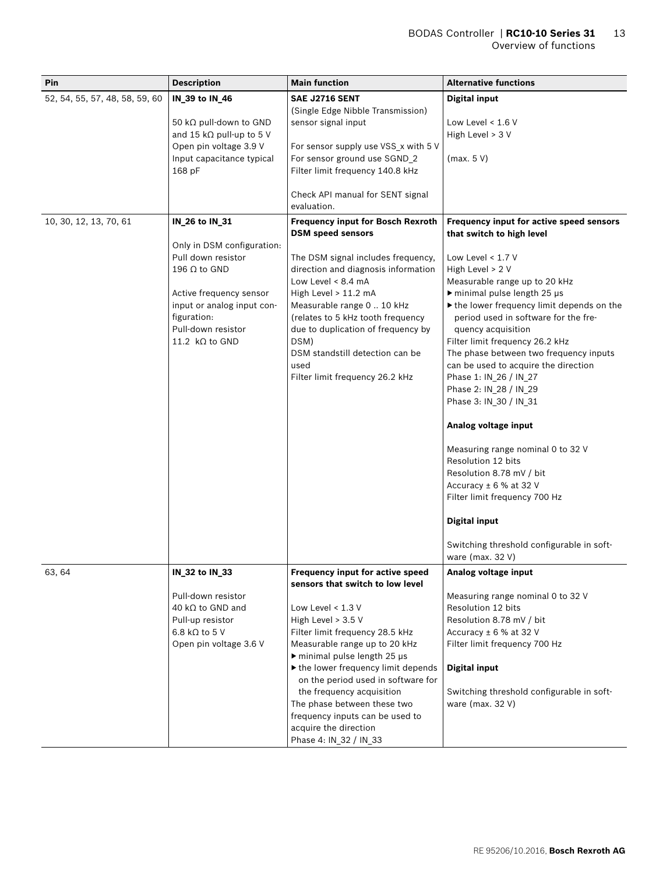| Pin                            | <b>Description</b>                                         | <b>Main function</b>                                                    | <b>Alternative functions</b>                                          |
|--------------------------------|------------------------------------------------------------|-------------------------------------------------------------------------|-----------------------------------------------------------------------|
| 52, 54, 55, 57, 48, 58, 59, 60 | IN_39 to IN_46                                             | SAE J2716 SENT                                                          | <b>Digital input</b>                                                  |
|                                |                                                            | (Single Edge Nibble Transmission)                                       |                                                                       |
|                                | 50 kΩ pull-down to GND                                     | sensor signal input                                                     | Low Level $< 1.6 V$                                                   |
|                                | and 15 k $\Omega$ pull-up to 5 V<br>Open pin voltage 3.9 V | For sensor supply use VSS_x with 5 V                                    | High Level > 3 V                                                      |
|                                | Input capacitance typical                                  | For sensor ground use SGND_2                                            | (max. 5 V)                                                            |
|                                | 168 pF                                                     | Filter limit frequency 140.8 kHz                                        |                                                                       |
|                                |                                                            |                                                                         |                                                                       |
|                                |                                                            | Check API manual for SENT signal                                        |                                                                       |
|                                |                                                            | evaluation.                                                             |                                                                       |
| 10, 30, 12, 13, 70, 61         | IN_26 to IN_31                                             | <b>Frequency input for Bosch Rexroth</b><br><b>DSM</b> speed sensors    | Frequency input for active speed sensors<br>that switch to high level |
|                                | Only in DSM configuration:                                 |                                                                         |                                                                       |
|                                | Pull down resistor                                         | The DSM signal includes frequency,                                      | Low Level $< 1.7 V$                                                   |
|                                | 196 $\Omega$ to GND                                        | direction and diagnosis information                                     | High Level > 2 V                                                      |
|                                |                                                            | Low Level < 8.4 mA                                                      | Measurable range up to 20 kHz                                         |
|                                | Active frequency sensor                                    | High Level $> 11.2$ mA                                                  | $\triangleright$ minimal pulse length 25 µs                           |
|                                | input or analog input con-                                 | Measurable range 0  10 kHz                                              | the lower frequency limit depends on the                              |
|                                | figuration:<br>Pull-down resistor                          | (relates to 5 kHz tooth frequency<br>due to duplication of frequency by | period used in software for the fre-<br>quency acquisition            |
|                                | 11.2 $k\Omega$ to GND                                      | DSM)                                                                    | Filter limit frequency 26.2 kHz                                       |
|                                |                                                            | DSM standstill detection can be                                         | The phase between two frequency inputs                                |
|                                |                                                            | used                                                                    | can be used to acquire the direction                                  |
|                                |                                                            | Filter limit frequency 26.2 kHz                                         | Phase 1: IN_26 / IN_27                                                |
|                                |                                                            |                                                                         | Phase 2: IN_28 / IN_29                                                |
|                                |                                                            |                                                                         | Phase 3: IN_30 / IN_31                                                |
|                                |                                                            |                                                                         | Analog voltage input                                                  |
|                                |                                                            |                                                                         | Measuring range nominal 0 to 32 V                                     |
|                                |                                                            |                                                                         | Resolution 12 bits                                                    |
|                                |                                                            |                                                                         | Resolution 8.78 mV / bit                                              |
|                                |                                                            |                                                                         | Accuracy ± 6 % at 32 V                                                |
|                                |                                                            |                                                                         | Filter limit frequency 700 Hz                                         |
|                                |                                                            |                                                                         | <b>Digital input</b>                                                  |
|                                |                                                            |                                                                         | Switching threshold configurable in soft-                             |
|                                |                                                            |                                                                         | ware (max. 32 V)                                                      |
| 63, 64                         | IN_32 to IN_33                                             | Frequency input for active speed<br>sensors that switch to low level    | Analog voltage input                                                  |
|                                | Pull-down resistor                                         |                                                                         | Measuring range nominal 0 to 32 V                                     |
|                                | 40 k $\Omega$ to GND and                                   | Low Level < 1.3 V                                                       | Resolution 12 bits                                                    |
|                                | Pull-up resistor                                           | High Level > 3.5 V                                                      | Resolution 8.78 mV / bit                                              |
|                                | 6.8 k $\Omega$ to 5 V<br>Open pin voltage 3.6 V            | Filter limit frequency 28.5 kHz<br>Measurable range up to 20 kHz        | Accuracy $\pm$ 6 % at 32 V<br>Filter limit frequency 700 Hz           |
|                                |                                                            | $\triangleright$ minimal pulse length 25 µs                             |                                                                       |
|                                |                                                            | If the lower frequency limit depends                                    | <b>Digital input</b>                                                  |
|                                |                                                            | on the period used in software for                                      |                                                                       |
|                                |                                                            | the frequency acquisition                                               | Switching threshold configurable in soft-                             |
|                                |                                                            | The phase between these two                                             | ware (max. 32 V)                                                      |
|                                |                                                            | frequency inputs can be used to                                         |                                                                       |
|                                |                                                            | acquire the direction<br>Phase 4: IN_32 / IN_33                         |                                                                       |
|                                |                                                            |                                                                         |                                                                       |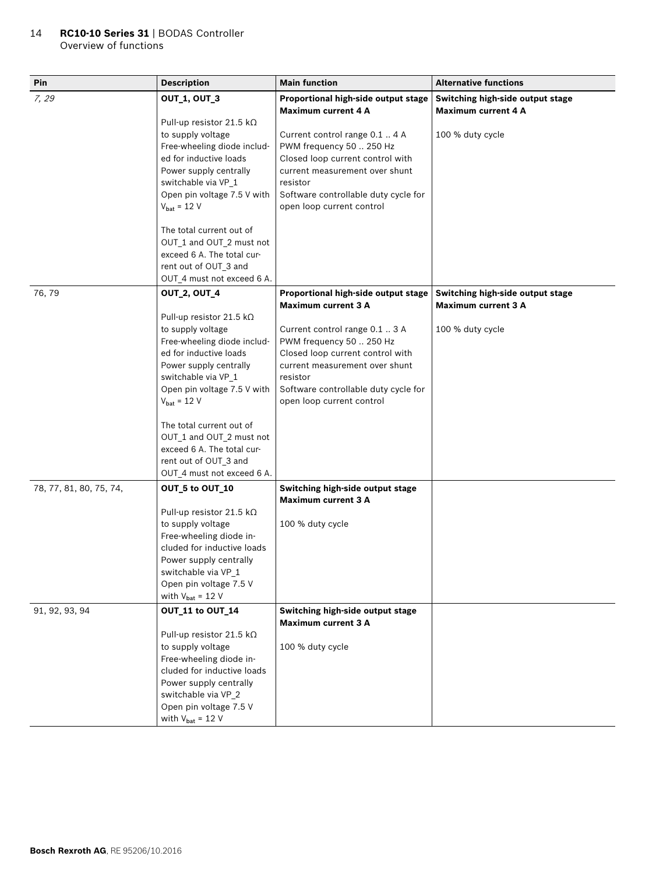### 14 **RC10-10 Series 31** | BODAS Controller Overview of functions

| Pin                     | <b>Description</b>                                                                                                                                                                                                             | <b>Main function</b>                                                                                                                                                                                              | <b>Alternative functions</b>                                   |
|-------------------------|--------------------------------------------------------------------------------------------------------------------------------------------------------------------------------------------------------------------------------|-------------------------------------------------------------------------------------------------------------------------------------------------------------------------------------------------------------------|----------------------------------------------------------------|
| 7, 29                   | <b>OUT 1, OUT 3</b>                                                                                                                                                                                                            | Proportional high-side output stage<br><b>Maximum current 4 A</b>                                                                                                                                                 | Switching high-side output stage<br>Maximum current 4 A        |
|                         | Pull-up resistor 21.5 k $\Omega$<br>to supply voltage<br>Free-wheeling diode includ-<br>ed for inductive loads<br>Power supply centrally<br>switchable via VP_1<br>Open pin voltage 7.5 V with<br>$V_{bat} = 12 V$             | Current control range 0.1  4 A<br>PWM frequency 50  250 Hz<br>Closed loop current control with<br>current measurement over shunt<br>resistor<br>Software controllable duty cycle for<br>open loop current control | 100 % duty cycle                                               |
|                         | The total current out of<br>OUT_1 and OUT_2 must not<br>exceed 6 A. The total cur-<br>rent out of OUT_3 and<br>OUT_4 must not exceed 6 A.                                                                                      |                                                                                                                                                                                                                   |                                                                |
| 76, 79                  | <b>OUT_2, OUT_4</b>                                                                                                                                                                                                            | Proportional high-side output stage<br><b>Maximum current 3 A</b>                                                                                                                                                 | Switching high-side output stage<br><b>Maximum current 3 A</b> |
|                         | Pull-up resistor 21.5 k $\Omega$<br>to supply voltage<br>Free-wheeling diode includ-<br>ed for inductive loads<br>Power supply centrally<br>switchable via VP_1<br>Open pin voltage 7.5 V with<br>$V_{\text{bat}} = 12 V$      | Current control range 0.1  3 A<br>PWM frequency 50  250 Hz<br>Closed loop current control with<br>current measurement over shunt<br>resistor<br>Software controllable duty cycle for<br>open loop current control | 100 % duty cycle                                               |
|                         | The total current out of<br>OUT_1 and OUT_2 must not<br>exceed 6 A. The total cur-<br>rent out of OUT_3 and<br>OUT_4 must not exceed 6 A.                                                                                      |                                                                                                                                                                                                                   |                                                                |
| 78, 77, 81, 80, 75, 74, | OUT_5 to OUT_10<br>Pull-up resistor 21.5 kΩ<br>to supply voltage<br>Free-wheeling diode in-<br>cluded for inductive loads<br>Power supply centrally<br>switchable via VP_1<br>Open pin voltage 7.5 V<br>with $V_{bat} = 12 V$  | Switching high-side output stage<br><b>Maximum current 3 A</b><br>100 % duty cycle                                                                                                                                |                                                                |
| 91, 92, 93, 94          | OUT_11 to OUT_14<br>Pull-up resistor 21.5 kΩ<br>to supply voltage<br>Free-wheeling diode in-<br>cluded for inductive loads<br>Power supply centrally<br>switchable via VP_2<br>Open pin voltage 7.5 V<br>with $V_{bat} = 12 V$ | Switching high-side output stage<br><b>Maximum current 3 A</b><br>100 % duty cycle                                                                                                                                |                                                                |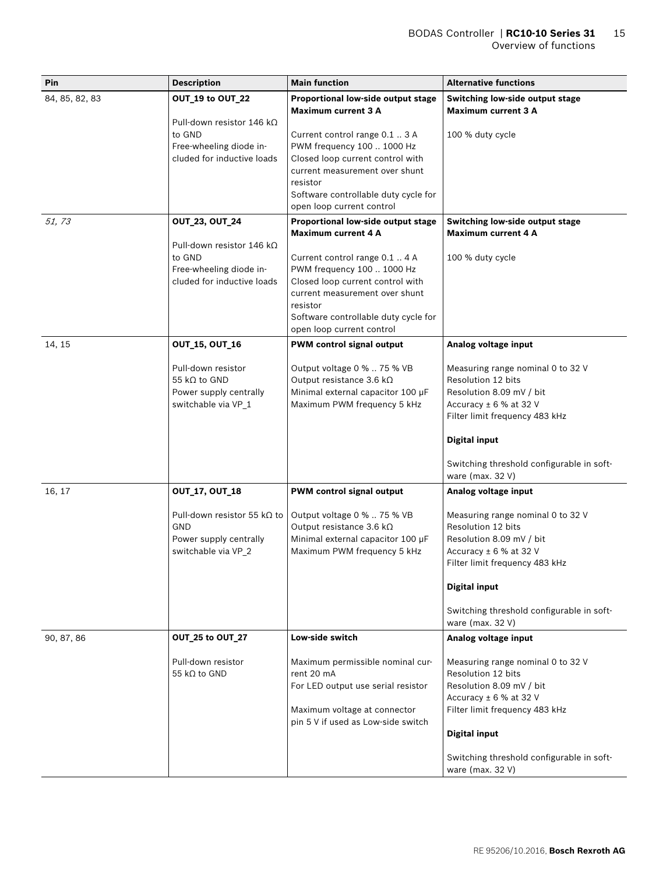| Pin                     | <b>Description</b>                                                                                                                                                                                                          | <b>Main function</b>                                                                                                                                                                                                                                                                                                                                                                                                        | <b>Alternative functions</b>                                                                                                                                                                                                                                         |
|-------------------------|-----------------------------------------------------------------------------------------------------------------------------------------------------------------------------------------------------------------------------|-----------------------------------------------------------------------------------------------------------------------------------------------------------------------------------------------------------------------------------------------------------------------------------------------------------------------------------------------------------------------------------------------------------------------------|----------------------------------------------------------------------------------------------------------------------------------------------------------------------------------------------------------------------------------------------------------------------|
| 84, 85, 82, 83<br>51,73 | OUT_19 to OUT_22<br>Pull-down resistor 146 k $\Omega$<br>to GND<br>Free-wheeling diode in-<br>cluded for inductive loads<br><b>OUT_23, OUT_24</b><br>Pull-down resistor 146 k $\Omega$<br>to GND<br>Free-wheeling diode in- | Proportional low-side output stage<br><b>Maximum current 3 A</b><br>Current control range 0.1  3 A<br>PWM frequency 100  1000 Hz<br>Closed loop current control with<br>current measurement over shunt<br>resistor<br>Software controllable duty cycle for<br>open loop current control<br>Proportional low-side output stage<br><b>Maximum current 4 A</b><br>Current control range 0.1  4 A<br>PWM frequency 100  1000 Hz | Switching low-side output stage<br><b>Maximum current 3 A</b><br>100 % duty cycle<br>Switching low-side output stage<br><b>Maximum current 4 A</b><br>100 % duty cycle                                                                                               |
|                         | cluded for inductive loads                                                                                                                                                                                                  | Closed loop current control with<br>current measurement over shunt<br>resistor<br>Software controllable duty cycle for<br>open loop current control                                                                                                                                                                                                                                                                         |                                                                                                                                                                                                                                                                      |
| 14, 15                  | <b>OUT_15, OUT_16</b><br>Pull-down resistor<br>55 k $\Omega$ to GND<br>Power supply centrally<br>switchable via VP_1                                                                                                        | <b>PWM control signal output</b><br>Output voltage 0 %  75 % VB<br>Output resistance 3.6 kΩ<br>Minimal external capacitor 100 µF<br>Maximum PWM frequency 5 kHz                                                                                                                                                                                                                                                             | Analog voltage input<br>Measuring range nominal 0 to 32 V<br>Resolution 12 bits<br>Resolution 8.09 mV / bit<br>Accuracy ± 6 % at 32 V<br>Filter limit frequency 483 kHz<br><b>Digital input</b><br>Switching threshold configurable in soft-<br>ware (max. 32 V)     |
| 16, 17                  | <b>OUT_17, OUT_18</b><br>Pull-down resistor 55 k $\Omega$ to<br>GND<br>Power supply centrally<br>switchable via VP_2                                                                                                        | <b>PWM</b> control signal output<br>Output voltage 0 %  75 % VB<br>Output resistance 3.6 kΩ<br>Minimal external capacitor 100 µF<br>Maximum PWM frequency 5 kHz                                                                                                                                                                                                                                                             | Analog voltage input<br>Measuring range nominal 0 to 32 V<br>Resolution 12 bits<br>Resolution 8.09 mV / bit<br>Accuracy $\pm$ 6 % at 32 V<br>Filter limit frequency 483 kHz<br><b>Digital input</b><br>Switching threshold configurable in soft-<br>ware (max. 32 V) |
| 90, 87, 86              | OUT_25 to OUT_27<br>Pull-down resistor<br>55 k $\Omega$ to GND                                                                                                                                                              | Low-side switch<br>Maximum permissible nominal cur-<br>rent 20 mA<br>For LED output use serial resistor<br>Maximum voltage at connector<br>pin 5 V if used as Low-side switch                                                                                                                                                                                                                                               | Analog voltage input<br>Measuring range nominal 0 to 32 V<br>Resolution 12 bits<br>Resolution 8.09 mV / bit<br>Accuracy $\pm$ 6 % at 32 V<br>Filter limit frequency 483 kHz<br><b>Digital input</b><br>Switching threshold configurable in soft-<br>ware (max. 32 V) |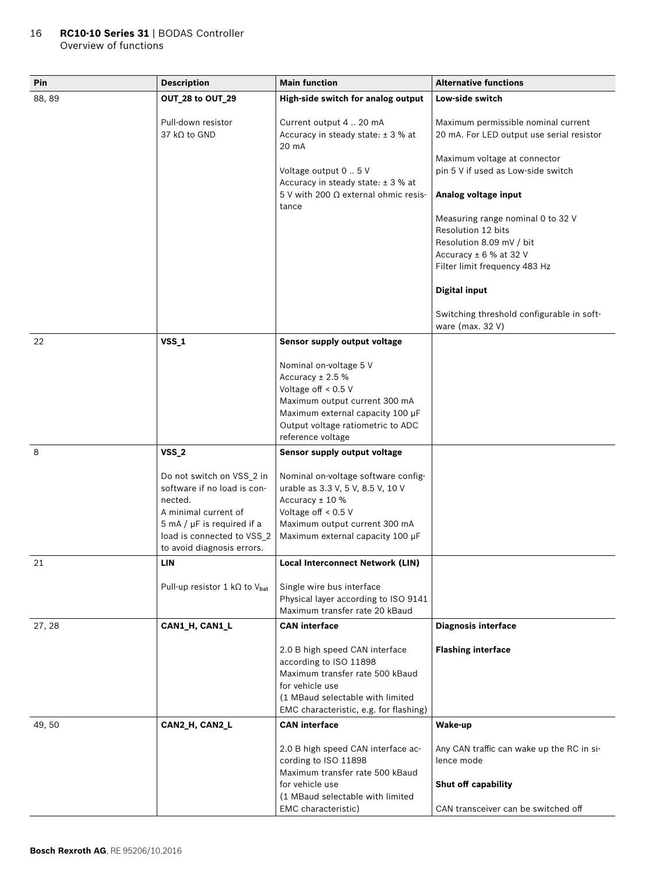#### 16 **RC10-10 Series 31** | BODAS Controller Overview of functions

| Pin    | <b>Description</b>                                | <b>Main function</b>                                                                       | <b>Alternative functions</b>                                       |
|--------|---------------------------------------------------|--------------------------------------------------------------------------------------------|--------------------------------------------------------------------|
| 88, 89 | OUT_28 to OUT_29                                  | High-side switch for analog output                                                         | Low-side switch                                                    |
|        | Pull-down resistor                                | Current output 4  20 mA                                                                    | Maximum permissible nominal current                                |
|        | 37 $k\Omega$ to GND                               | Accuracy in steady state: ± 3 % at<br>20 mA                                                | 20 mA. For LED output use serial resistor                          |
|        |                                                   | Voltage output 0  5 V                                                                      | Maximum voltage at connector<br>pin 5 V if used as Low-side switch |
|        |                                                   | Accuracy in steady state: ± 3 % at<br>5 V with 200 $\Omega$ external ohmic resis-<br>tance | Analog voltage input                                               |
|        |                                                   |                                                                                            | Measuring range nominal 0 to 32 V<br>Resolution 12 bits            |
|        |                                                   |                                                                                            | Resolution 8.09 mV / bit                                           |
|        |                                                   |                                                                                            | Accuracy ± 6 % at 32 V                                             |
|        |                                                   |                                                                                            | Filter limit frequency 483 Hz                                      |
|        |                                                   |                                                                                            | <b>Digital input</b>                                               |
|        |                                                   |                                                                                            | Switching threshold configurable in soft-<br>ware (max. 32 V)      |
| 22     | <b>VSS_1</b>                                      | Sensor supply output voltage                                                               |                                                                    |
|        |                                                   | Nominal on-voltage 5 V                                                                     |                                                                    |
|        |                                                   | Accuracy $± 2.5%$                                                                          |                                                                    |
|        |                                                   | Voltage off < 0.5 V                                                                        |                                                                    |
|        |                                                   | Maximum output current 300 mA                                                              |                                                                    |
|        |                                                   | Maximum external capacity 100 µF<br>Output voltage ratiometric to ADC                      |                                                                    |
|        |                                                   | reference voltage                                                                          |                                                                    |
| 8      | <b>VSS_2</b>                                      | Sensor supply output voltage                                                               |                                                                    |
|        |                                                   |                                                                                            |                                                                    |
|        | Do not switch on VSS_2 in                         | Nominal on-voltage software config-                                                        |                                                                    |
|        | software if no load is con-                       | urable as 3.3 V, 5 V, 8.5 V, 10 V                                                          |                                                                    |
|        | nected.<br>A minimal current of                   | Accuracy ± 10 %<br>Voltage off $< 0.5$ V                                                   |                                                                    |
|        | $5 \text{ mA} / \mu$ F is required if a           | Maximum output current 300 mA                                                              |                                                                    |
|        | load is connected to VSS_2                        | Maximum external capacity 100 µF                                                           |                                                                    |
|        | to avoid diagnosis errors.                        |                                                                                            |                                                                    |
| 21     | LIN                                               | Local Interconnect Network (LIN)                                                           |                                                                    |
|        | Pull-up resistor 1 k $\Omega$ to V <sub>bat</sub> | Single wire bus interface                                                                  |                                                                    |
|        |                                                   | Physical layer according to ISO 9141                                                       |                                                                    |
|        |                                                   | Maximum transfer rate 20 kBaud                                                             |                                                                    |
| 27, 28 | CAN1_H, CAN1_L                                    | <b>CAN</b> interface                                                                       | <b>Diagnosis interface</b>                                         |
|        |                                                   | 2.0 B high speed CAN interface                                                             | <b>Flashing interface</b>                                          |
|        |                                                   | according to ISO 11898<br>Maximum transfer rate 500 kBaud                                  |                                                                    |
|        |                                                   | for vehicle use                                                                            |                                                                    |
|        |                                                   | (1 MBaud selectable with limited                                                           |                                                                    |
|        |                                                   | EMC characteristic, e.g. for flashing)                                                     |                                                                    |
| 49,50  | CAN2_H, CAN2_L                                    | <b>CAN</b> interface                                                                       | Wake-up                                                            |
|        |                                                   | 2.0 B high speed CAN interface ac-                                                         | Any CAN traffic can wake up the RC in si-                          |
|        |                                                   | cording to ISO 11898                                                                       | lence mode                                                         |
|        |                                                   | Maximum transfer rate 500 kBaud                                                            |                                                                    |
|        |                                                   | for vehicle use                                                                            | Shut off capability                                                |
|        |                                                   | (1 MBaud selectable with limited<br>EMC characteristic)                                    | CAN transceiver can be switched off                                |
|        |                                                   |                                                                                            |                                                                    |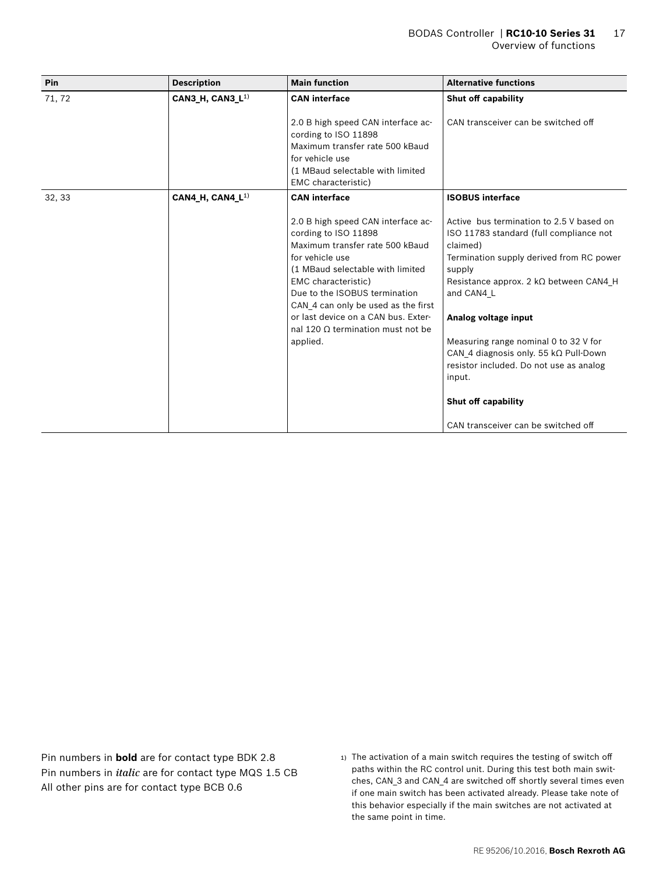| Pin    | <b>Description</b>           | <b>Main function</b>                                                                                                                                                                                                                                                                                                                               | <b>Alternative functions</b>                                                                                                                                                                                                                                                                                                                                                                                      |
|--------|------------------------------|----------------------------------------------------------------------------------------------------------------------------------------------------------------------------------------------------------------------------------------------------------------------------------------------------------------------------------------------------|-------------------------------------------------------------------------------------------------------------------------------------------------------------------------------------------------------------------------------------------------------------------------------------------------------------------------------------------------------------------------------------------------------------------|
| 71, 72 | CAN3_H, CAN3_L <sup>1)</sup> | <b>CAN</b> interface                                                                                                                                                                                                                                                                                                                               | Shut off capability                                                                                                                                                                                                                                                                                                                                                                                               |
|        |                              | 2.0 B high speed CAN interface ac-<br>cording to ISO 11898<br>Maximum transfer rate 500 kBaud<br>for vehicle use<br>(1 MBaud selectable with limited<br>EMC characteristic)                                                                                                                                                                        | CAN transceiver can be switched off                                                                                                                                                                                                                                                                                                                                                                               |
| 32, 33 | CAN4_H, CAN4_L <sup>1)</sup> | <b>CAN</b> interface                                                                                                                                                                                                                                                                                                                               | <b>ISOBUS interface</b>                                                                                                                                                                                                                                                                                                                                                                                           |
|        |                              | 2.0 B high speed CAN interface ac-<br>cording to ISO 11898<br>Maximum transfer rate 500 kBaud<br>for vehicle use<br>(1 MBaud selectable with limited<br>EMC characteristic)<br>Due to the ISOBUS termination<br>CAN 4 can only be used as the first<br>or last device on a CAN bus. Exter-<br>nal 120 $\Omega$ termination must not be<br>applied. | Active bus termination to 2.5 V based on<br>ISO 11783 standard (full compliance not<br>claimed)<br>Termination supply derived from RC power<br>supply<br>Resistance approx. 2 $k\Omega$ between CAN4 H<br>and CAN4 L<br>Analog voltage input<br>Measuring range nominal 0 to 32 V for<br>CAN 4 diagnosis only. 55 $k\Omega$ Pull-Down<br>resistor included. Do not use as analog<br>input.<br>Shut off capability |
|        |                              |                                                                                                                                                                                                                                                                                                                                                    | CAN transceiver can be switched off                                                                                                                                                                                                                                                                                                                                                                               |

Pin numbers in **bold** are for contact type BDK 2.8 Pin numbers in *italic* are for contact type MQS 1.5 CB All other pins are for contact type BCB 0.6

1) The activation of a main switch requires the testing of switch off paths within the RC control unit. During this test both main switches, CAN\_3 and CAN\_4 are switched off shortly several times even if one main switch has been activated already. Please take note of this behavior especially if the main switches are not activated at the same point in time.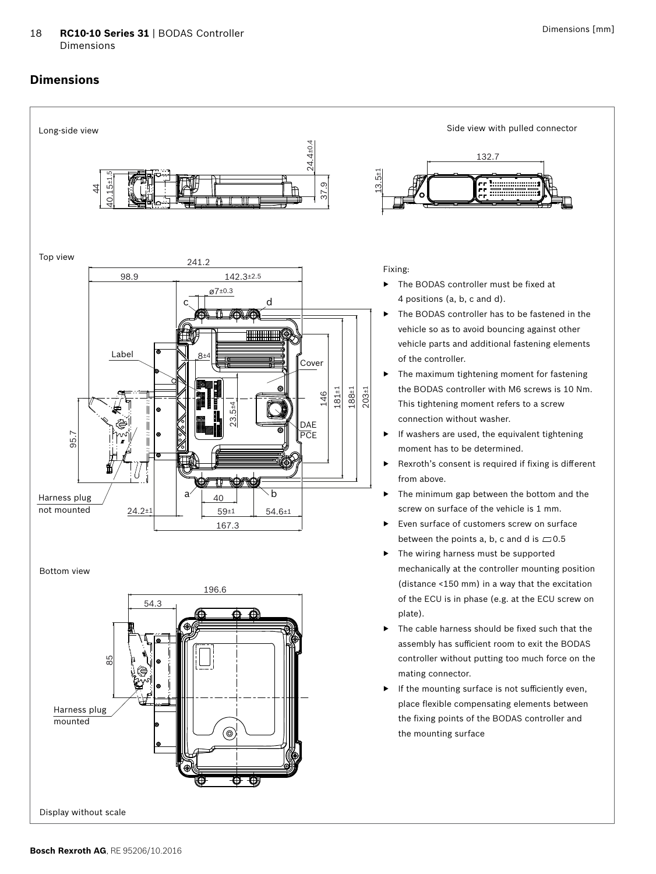#### <span id="page-17-0"></span>18 **RC10-10 Series 31** | BODAS Controller Dimensions

### **Dimensions**



the fixing points of the BODAS controller and the mounting surface

⊚

Display without scale

mounted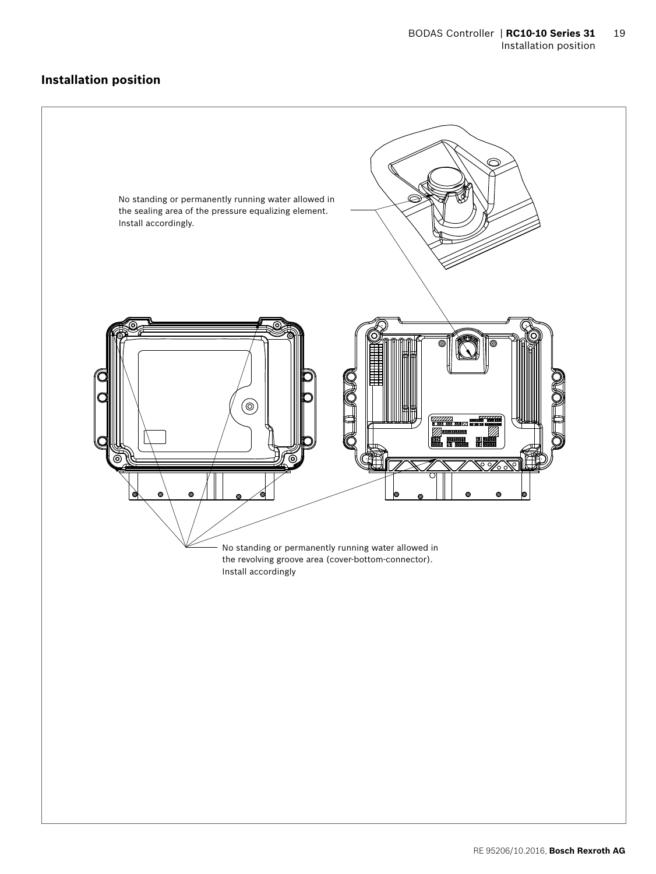### <span id="page-18-0"></span>**Installation position**

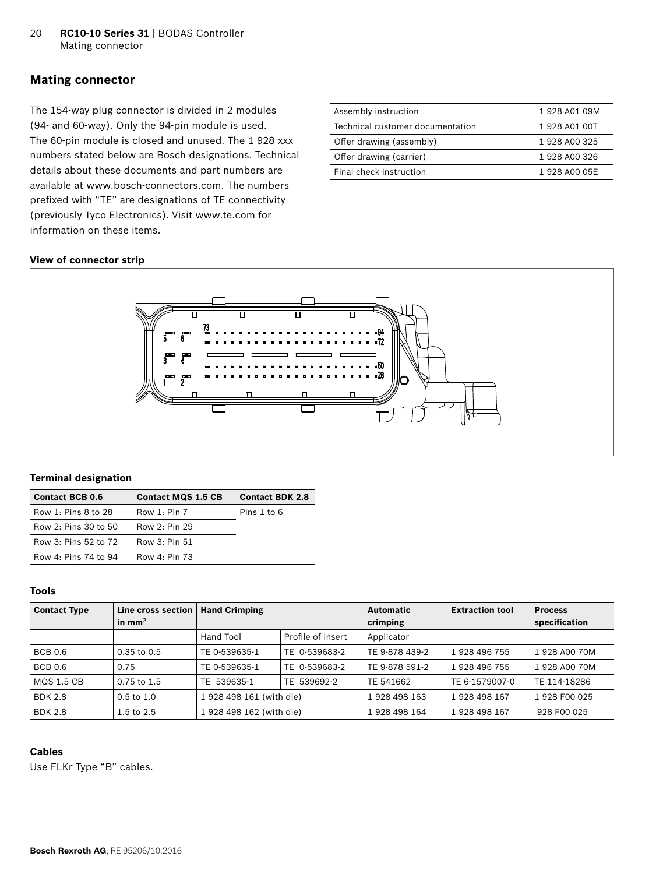### <span id="page-19-0"></span>**Mating connector**

The 154-way plug connector is divided in 2 modules (94- and 60-way). Only the 94-pin module is used. The 60-pin module is closed and unused. The 1 928 xxx numbers stated below are Bosch designations. Technical details about these documents and part numbers are available at www.bosch-connectors.com. The numbers prefixed with "TE" are designations of TE connectivity (previously Tyco Electronics). Visit www.te.com for information on these items.

| 1928 A01 09M  |
|---------------|
| 1 928 A01 00T |
| 1 928 A00 325 |
| 1 928 A00 326 |
| 1 928 A00 05E |
|               |

#### **View of connector strip**



#### **Terminal designation**

| <b>Contact BCB 0.6</b> | <b>Contact MQS 1.5 CB</b> | <b>Contact BDK 2.8</b> |
|------------------------|---------------------------|------------------------|
| Row 1: Pins 8 to 28    | Row 1: Pin 7              | Pins 1 to 6            |
| Row 2: Pins 30 to 50   | Row 2: Pin 29             |                        |
| Row 3: Pins 52 to 72   | Row 3: Pin 51             |                        |
| Row 4: Pins 74 to 94   | Row $4: P$ in 73          |                        |

### **Tools**

| <b>Contact Type</b> | Line cross section<br>in $mm2$ | <b>Hand Crimping</b>     |                   | <b>Automatic</b><br>crimping | <b>Extraction tool</b> | <b>Process</b><br>specification |
|---------------------|--------------------------------|--------------------------|-------------------|------------------------------|------------------------|---------------------------------|
|                     |                                | Hand Tool                | Profile of insert | Applicator                   |                        |                                 |
| <b>BCB 0.6</b>      | $0.35$ to $0.5$                | TE 0-539635-1            | TE 0-539683-2     | TE 9-878 439-2               | 1 928 496 755          | 1 928 A00 70M                   |
| <b>BCB 0.6</b>      | 0.75                           | TE 0-539635-1            | TE 0-539683-2     | TE 9-878 591-2               | 1 928 496 755          | 1 928 A00 70M                   |
| <b>MQS 1.5 CB</b>   | $0.75$ to $1.5$                | TE 539635-1              | TE 539692-2       | TE 541662                    | TE 6-1579007-0         | TE 114-18286                    |
| <b>BDK 2.8</b>      | $0.5 \text{ to } 1.0$          | 1 928 498 161 (with die) |                   | 1928 498 163                 | 1928 498 167           | 1 928 F00 025                   |
| <b>BDK 2.8</b>      | 1.5 to $2.5$                   | 1 928 498 162 (with die) |                   | 1928 498 164                 | 1928 498 167           | 928 F00 025                     |

### **Cables**

Use FLKr Type "B" cables.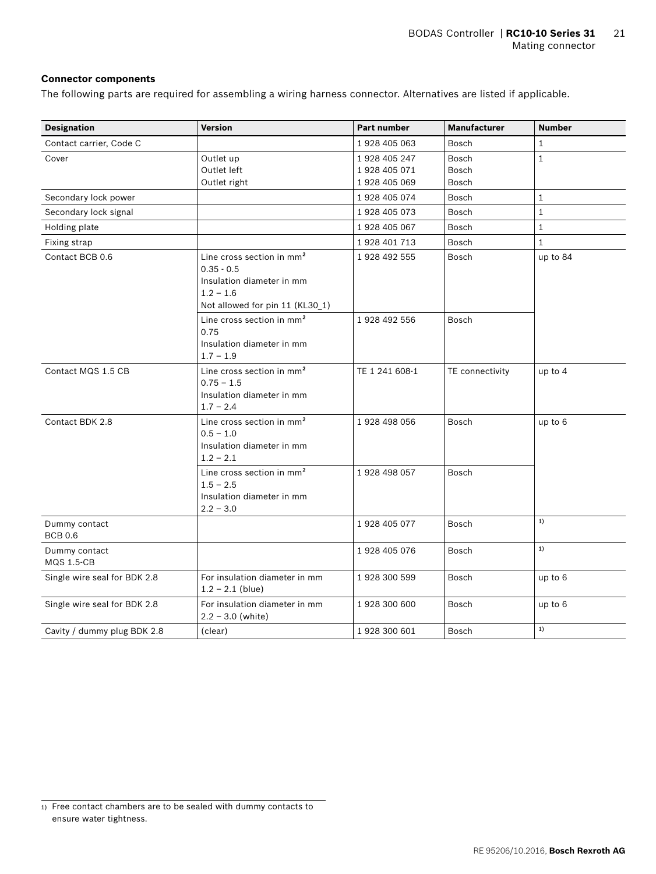### **Connector components**

The following parts are required for assembling a wiring harness connector. Alternatives are listed if applicable.

| <b>Designation</b>                 | <b>Version</b>                                                                                                                       | Part number    | <b>Manufacturer</b> | <b>Number</b> |
|------------------------------------|--------------------------------------------------------------------------------------------------------------------------------------|----------------|---------------------|---------------|
| Contact carrier, Code C            |                                                                                                                                      | 1928 405 063   | Bosch               | $\mathbf{1}$  |
| Cover                              | Outlet up                                                                                                                            | 1928 405 247   | Bosch               | $\mathbf{1}$  |
|                                    | Outlet left                                                                                                                          | 1928 405 071   | <b>Bosch</b>        |               |
|                                    | Outlet right                                                                                                                         | 1928 405 069   | Bosch               |               |
| Secondary lock power               |                                                                                                                                      | 1 928 405 074  | Bosch               | $\mathbf{1}$  |
| Secondary lock signal              |                                                                                                                                      | 1928 405 073   | Bosch               | $\mathbf{1}$  |
| Holding plate                      |                                                                                                                                      | 1 928 405 067  | Bosch               | $\mathbf{1}$  |
| Fixing strap                       |                                                                                                                                      | 1928 401 713   | Bosch               | $\mathbf{1}$  |
| Contact BCB 0.6                    | Line cross section in mm <sup>2</sup><br>$0.35 - 0.5$<br>Insulation diameter in mm<br>$1.2 - 1.6$<br>Not allowed for pin 11 (KL30_1) | 1 928 492 555  | Bosch               | up to 84      |
|                                    | Line cross section in mm <sup>2</sup><br>0.75<br>Insulation diameter in mm<br>$1.7 - 1.9$                                            | 1928 492 556   | Bosch               |               |
| Contact MQS 1.5 CB                 | Line cross section in mm <sup>2</sup><br>$0.75 - 1.5$<br>Insulation diameter in mm<br>$1.7 - 2.4$                                    | TE 1 241 608-1 | TE connectivity     | up to $4$     |
| Contact BDK 2.8                    | Line cross section in $mm2$<br>$0.5 - 1.0$<br>Insulation diameter in mm<br>$1.2 - 2.1$                                               | 1 928 498 056  | Bosch               | up to 6       |
|                                    | Line cross section in $mm2$<br>$1.5 - 2.5$<br>Insulation diameter in mm<br>$2.2 - 3.0$                                               | 1928 498 057   | Bosch               |               |
| Dummy contact<br><b>BCB 0.6</b>    |                                                                                                                                      | 1928 405 077   | Bosch               | 1)            |
| Dummy contact<br><b>MQS 1.5-CB</b> |                                                                                                                                      | 1928 405 076   | Bosch               | 1)            |
| Single wire seal for BDK 2.8       | For insulation diameter in mm<br>$1.2 - 2.1$ (blue)                                                                                  | 1928 300 599   | Bosch               | up to 6       |
| Single wire seal for BDK 2.8       | For insulation diameter in mm<br>$2.2 - 3.0$ (white)                                                                                 | 1928 300 600   | Bosch               | up to 6       |
| Cavity / dummy plug BDK 2.8        | (clear)                                                                                                                              | 1 928 300 601  | Bosch               | 1)            |

<sup>1)</sup> Free contact chambers are to be sealed with dummy contacts to ensure water tightness.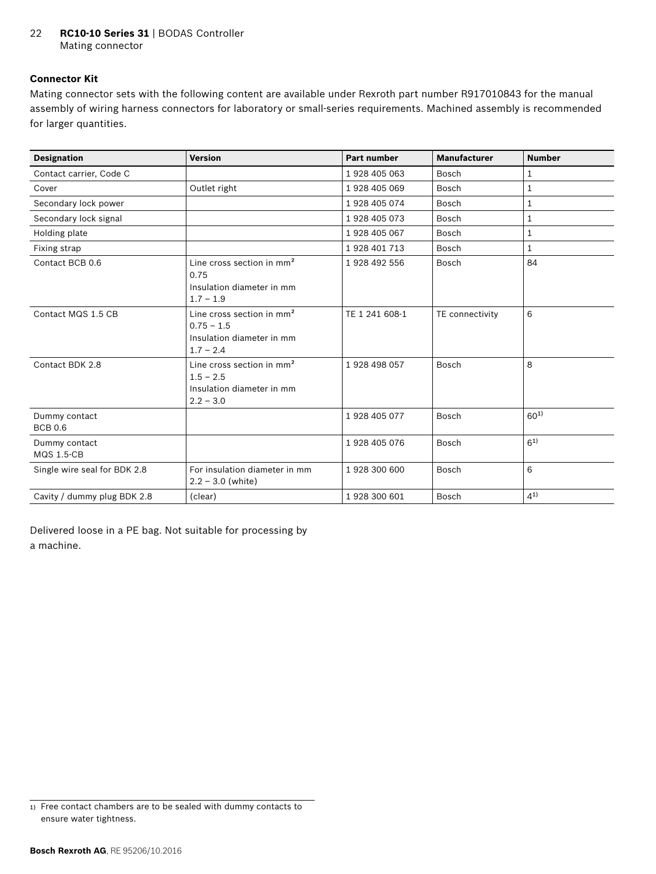### **Connector Kit**

Mating connector sets with the following content are available under Rexroth part number R917010843 for the manual assembly of wiring harness connectors for laboratory or small-series requirements. Machined assembly is recommended for larger quantities.

| <b>Designation</b>                 | <b>Version</b>                                                                            | <b>Part number</b> | <b>Manufacturer</b> | <b>Number</b> |
|------------------------------------|-------------------------------------------------------------------------------------------|--------------------|---------------------|---------------|
| Contact carrier, Code C            |                                                                                           | 1928 405 063       | Bosch               | 1             |
| Cover                              | Outlet right                                                                              | 1928 405 069       | Bosch               | 1             |
| Secondary lock power               |                                                                                           | 1 928 405 074      | Bosch               | 1             |
| Secondary lock signal              |                                                                                           | 1928 405 073       | Bosch               | 1             |
| Holding plate                      |                                                                                           | 1928 405 067       | Bosch               | $\mathbf{1}$  |
| Fixing strap                       |                                                                                           | 1928 401 713       | Bosch               | $\mathbf{1}$  |
| Contact BCB 0.6                    | Line cross section in mm <sup>2</sup><br>0.75<br>Insulation diameter in mm<br>$1.7 - 1.9$ | 1928 492 556       | Bosch               | 84            |
| Contact MQS 1.5 CB                 | Line cross section in $mm2$<br>$0.75 - 1.5$<br>Insulation diameter in mm<br>$1.7 - 2.4$   | TE 1 241 608-1     | TE connectivity     | 6             |
| Contact BDK 2.8                    | Line cross section in $mm2$<br>$1.5 - 2.5$<br>Insulation diameter in mm<br>$2.2 - 3.0$    | 1928 498 057       | Bosch               | 8             |
| Dummy contact<br><b>BCB 0.6</b>    |                                                                                           | 1928 405 077       | Bosch               | $60^{1}$      |
| Dummy contact<br><b>MQS 1.5-CB</b> |                                                                                           | 1928 405 076       | Bosch               | $6^{1}$       |
| Single wire seal for BDK 2.8       | For insulation diameter in mm<br>$2.2 - 3.0$ (white)                                      | 1928 300 600       | Bosch               | 6             |
| Cavity / dummy plug BDK 2.8        | (clear)                                                                                   | 1928 300 601       | Bosch               | (41)          |

Delivered loose in a PE bag. Not suitable for processing by a machine.

<sup>1)</sup> Free contact chambers are to be sealed with dummy contacts to ensure water tightness.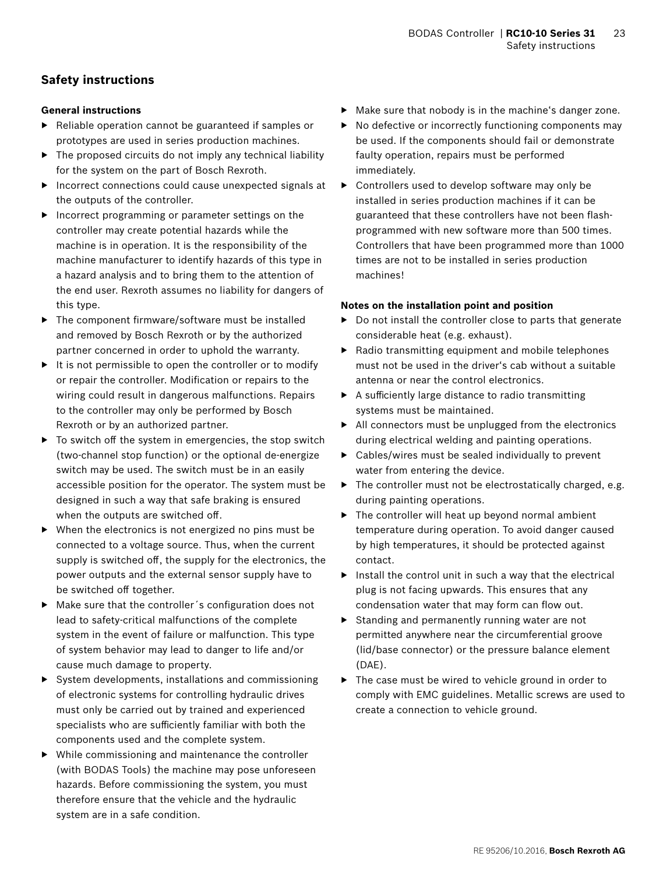# <span id="page-22-0"></span>**Safety instructions**

### **General instructions**

- ▶ Reliable operation cannot be guaranteed if samples or prototypes are used in series production machines.
- ▶ The proposed circuits do not imply any technical liability for the system on the part of Bosch Rexroth.
- ▶ Incorrect connections could cause unexpected signals at the outputs of the controller.
- ▶ Incorrect programming or parameter settings on the controller may create potential hazards while the machine is in operation. It is the responsibility of the machine manufacturer to identify hazards of this type in a hazard analysis and to bring them to the attention of the end user. Rexroth assumes no liability for dangers of this type.
- ▶ The component firmware/software must be installed and removed by Bosch Rexroth or by the authorized partner concerned in order to uphold the warranty.
- ▶ It is not permissible to open the controller or to modify or repair the controller. Modification or repairs to the wiring could result in dangerous malfunctions. Repairs to the controller may only be performed by Bosch Rexroth or by an authorized partner.
- ▶ To switch off the system in emergencies, the stop switch (two-channel stop function) or the optional de-energize switch may be used. The switch must be in an easily accessible position for the operator. The system must be designed in such a way that safe braking is ensured when the outputs are switched off.
- ▶ When the electronics is not energized no pins must be connected to a voltage source. Thus, when the current supply is switched off, the supply for the electronics, the power outputs and the external sensor supply have to be switched off together.
- ▶ Make sure that the controller´s configuration does not lead to safety-critical malfunctions of the complete system in the event of failure or malfunction. This type of system behavior may lead to danger to life and/or cause much damage to property.
- ▶ System developments, installations and commissioning of electronic systems for controlling hydraulic drives must only be carried out by trained and experienced specialists who are sufficiently familiar with both the components used and the complete system.
- ▶ While commissioning and maintenance the controller (with BODAS Tools) the machine may pose unforeseen hazards. Before commissioning the system, you must therefore ensure that the vehicle and the hydraulic system are in a safe condition.
- ▶ Make sure that nobody is in the machine's danger zone.
- ▶ No defective or incorrectly functioning components may be used. If the components should fail or demonstrate faulty operation, repairs must be performed immediately.
- ▶ Controllers used to develop software may only be installed in series production machines if it can be guaranteed that these controllers have not been flashprogrammed with new software more than 500 times. Controllers that have been programmed more than 1000 times are not to be installed in series production machines!

### **Notes on the installation point and position**

- ▶ Do not install the controller close to parts that generate considerable heat (e.g. exhaust).
- ▶ Radio transmitting equipment and mobile telephones must not be used in the driver's cab without a suitable antenna or near the control electronics.
- $\blacktriangleright$  A sufficiently large distance to radio transmitting systems must be maintained.
- ▶ All connectors must be unplugged from the electronics during electrical welding and painting operations.
- ▶ Cables/wires must be sealed individually to prevent water from entering the device.
- $\triangleright$  The controller must not be electrostatically charged, e.g. during painting operations.
- ▶ The controller will heat up beyond normal ambient temperature during operation. To avoid danger caused by high temperatures, it should be protected against contact.
- $\blacktriangleright$  Install the control unit in such a way that the electrical plug is not facing upwards. This ensures that any condensation water that may form can flow out.
- ▶ Standing and permanently running water are not permitted anywhere near the circumferential groove (lid/base connector) or the pressure balance element (DAE).
- ▶ The case must be wired to vehicle ground in order to comply with EMC guidelines. Metallic screws are used to create a connection to vehicle ground.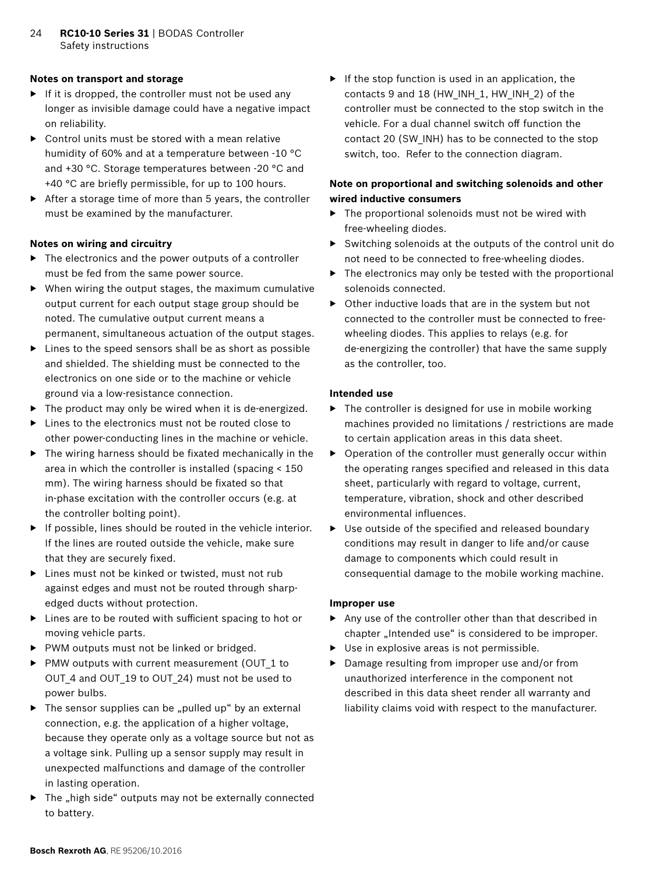### **Notes on transport and storage**

- ▶ If it is dropped, the controller must not be used any longer as invisible damage could have a negative impact on reliability.
- $\triangleright$  Control units must be stored with a mean relative humidity of 60% and at a temperature between -10 °C and +30 °C. Storage temperatures between -20 °C and +40 °C are briefly permissible, for up to 100 hours.
- ▶ After a storage time of more than 5 years, the controller must be examined by the manufacturer.

### **Notes on wiring and circuitry**

- $\triangleright$  The electronics and the power outputs of a controller must be fed from the same power source.
- $\blacktriangleright$  When wiring the output stages, the maximum cumulative output current for each output stage group should be noted. The cumulative output current means a permanent, simultaneous actuation of the output stages.
- ▶ Lines to the speed sensors shall be as short as possible and shielded. The shielding must be connected to the electronics on one side or to the machine or vehicle ground via a low-resistance connection.
- $\blacktriangleright$  The product may only be wired when it is de-energized.
- ▶ Lines to the electronics must not be routed close to other power-conducting lines in the machine or vehicle.
- $\blacktriangleright$  The wiring harness should be fixated mechanically in the area in which the controller is installed (spacing < 150 mm). The wiring harness should be fixated so that in-phase excitation with the controller occurs (e.g. at the controller bolting point).
- $\blacktriangleright$  If possible, lines should be routed in the vehicle interior. If the lines are routed outside the vehicle, make sure that they are securely fixed.
- ▶ Lines must not be kinked or twisted, must not rub against edges and must not be routed through sharpedged ducts without protection.
- ▶ Lines are to be routed with sufficient spacing to hot or moving vehicle parts.
- ▶ PWM outputs must not be linked or bridged.
- ▶ PMW outputs with current measurement (OUT\_1 to OUT 4 and OUT 19 to OUT 24) must not be used to power bulbs.
- $\triangleright$  The sensor supplies can be "pulled up" by an external connection, e.g. the application of a higher voltage, because they operate only as a voltage source but not as a voltage sink. Pulling up a sensor supply may result in unexpected malfunctions and damage of the controller in lasting operation.
- $\blacktriangleright$  The "high side" outputs may not be externally connected to battery.

 $\blacktriangleright$  If the stop function is used in an application, the contacts 9 and 18 (HW\_INH\_1, HW\_INH\_2) of the controller must be connected to the stop switch in the vehicle. For a dual channel switch off function the contact 20 (SW\_INH) has to be connected to the stop switch, too. Refer to the connection diagram.

### **Note on proportional and switching solenoids and other wired inductive consumers**

- $\triangleright$  The proportional solenoids must not be wired with free-wheeling diodes.
- ▶ Switching solenoids at the outputs of the control unit do not need to be connected to free-wheeling diodes.
- $\triangleright$  The electronics may only be tested with the proportional solenoids connected.
- ▶ Other inductive loads that are in the system but not connected to the controller must be connected to freewheeling diodes. This applies to relays (e.g. for de-energizing the controller) that have the same supply as the controller, too.

### **Intended use**

- ▶ The controller is designed for use in mobile working machines provided no limitations / restrictions are made to certain application areas in this data sheet.
- ▶ Operation of the controller must generally occur within the operating ranges specified and released in this data sheet, particularly with regard to voltage, current, temperature, vibration, shock and other described environmental influences.
- ▶ Use outside of the specified and released boundary conditions may result in danger to life and/or cause damage to components which could result in consequential damage to the mobile working machine.

### **Improper use**

- ▶ Any use of the controller other than that described in chapter "Intended use" is considered to be improper.
- ▶ Use in explosive areas is not permissible.
- ▶ Damage resulting from improper use and/or from unauthorized interference in the component not described in this data sheet render all warranty and liability claims void with respect to the manufacturer.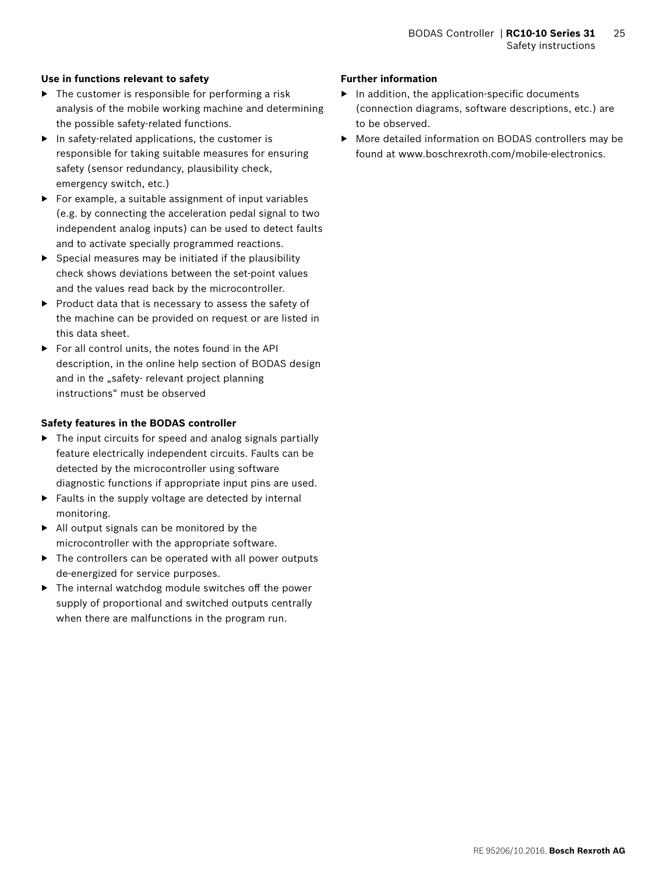### **Use in functions relevant to safety**

- $\blacktriangleright$  The customer is responsible for performing a risk analysis of the mobile working machine and determining the possible safety-related functions.
- $\blacktriangleright$  In safety-related applications, the customer is responsible for taking suitable measures for ensuring safety (sensor redundancy, plausibility check, emergency switch, etc.)
- ▶ For example, a suitable assignment of input variables (e.g. by connecting the acceleration pedal signal to two independent analog inputs) can be used to detect faults and to activate specially programmed reactions.
- $\triangleright$  Special measures may be initiated if the plausibility check shows deviations between the set-point values and the values read back by the microcontroller.
- ▶ Product data that is necessary to assess the safety of the machine can be provided on request or are listed in this data sheet.
- ▶ For all control units, the notes found in the API description, in the online help section of BODAS design and in the "safety- relevant project planning instructions" must be observed

### **Safety features in the BODAS controller**

- ▶ The input circuits for speed and analog signals partially feature electrically independent circuits. Faults can be detected by the microcontroller using software diagnostic functions if appropriate input pins are used.
- $\blacktriangleright$  Faults in the supply voltage are detected by internal monitoring.
- ▶ All output signals can be monitored by the microcontroller with the appropriate software.
- ▶ The controllers can be operated with all power outputs de-energized for service purposes.
- $\blacktriangleright$  The internal watchdog module switches off the power supply of proportional and switched outputs centrally when there are malfunctions in the program run.

### **Further information**

- ▶ In addition, the application-specific documents (connection diagrams, software descriptions, etc.) are to be observed.
- ▶ More detailed information on BODAS controllers may be found at www.boschrexroth.com/mobile-electronics.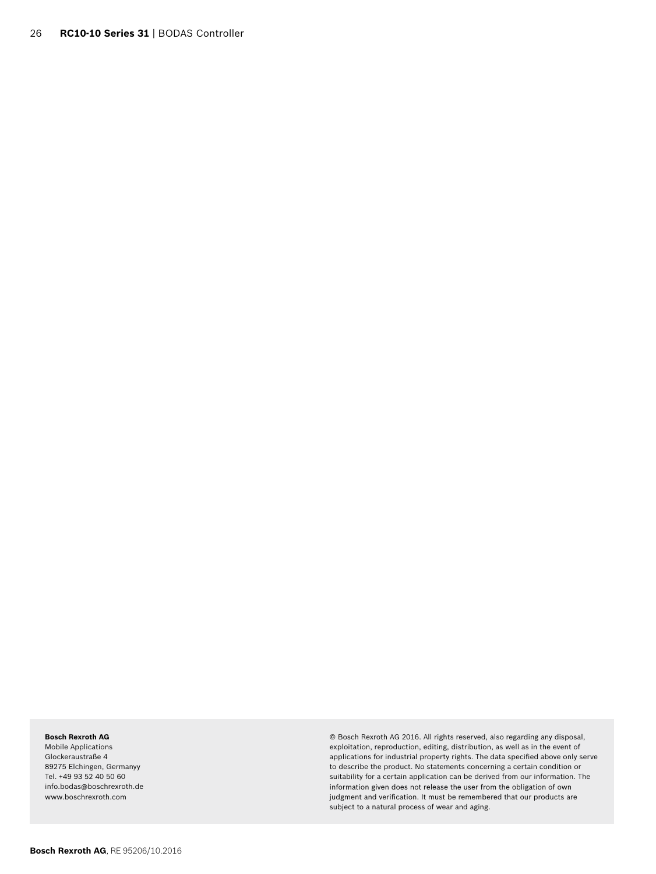#### **Bosch Rexroth AG**

Mobile Applications Glockeraustraße 4 89275 Elchingen, Germanyy Tel. +49 93 52 40 50 60 info.bodas@boschrexroth.de www.boschrexroth.com

© Bosch Rexroth AG 2016. All rights reserved, also regarding any disposal, exploitation, reproduction, editing, distribution, as well as in the event of applications for industrial property rights. The data specified above only serve to describe the product. No statements concerning a certain condition or suitability for a certain application can be derived from our information. The information given does not release the user from the obligation of own judgment and verification. It must be remembered that our products are subject to a natural process of wear and aging.